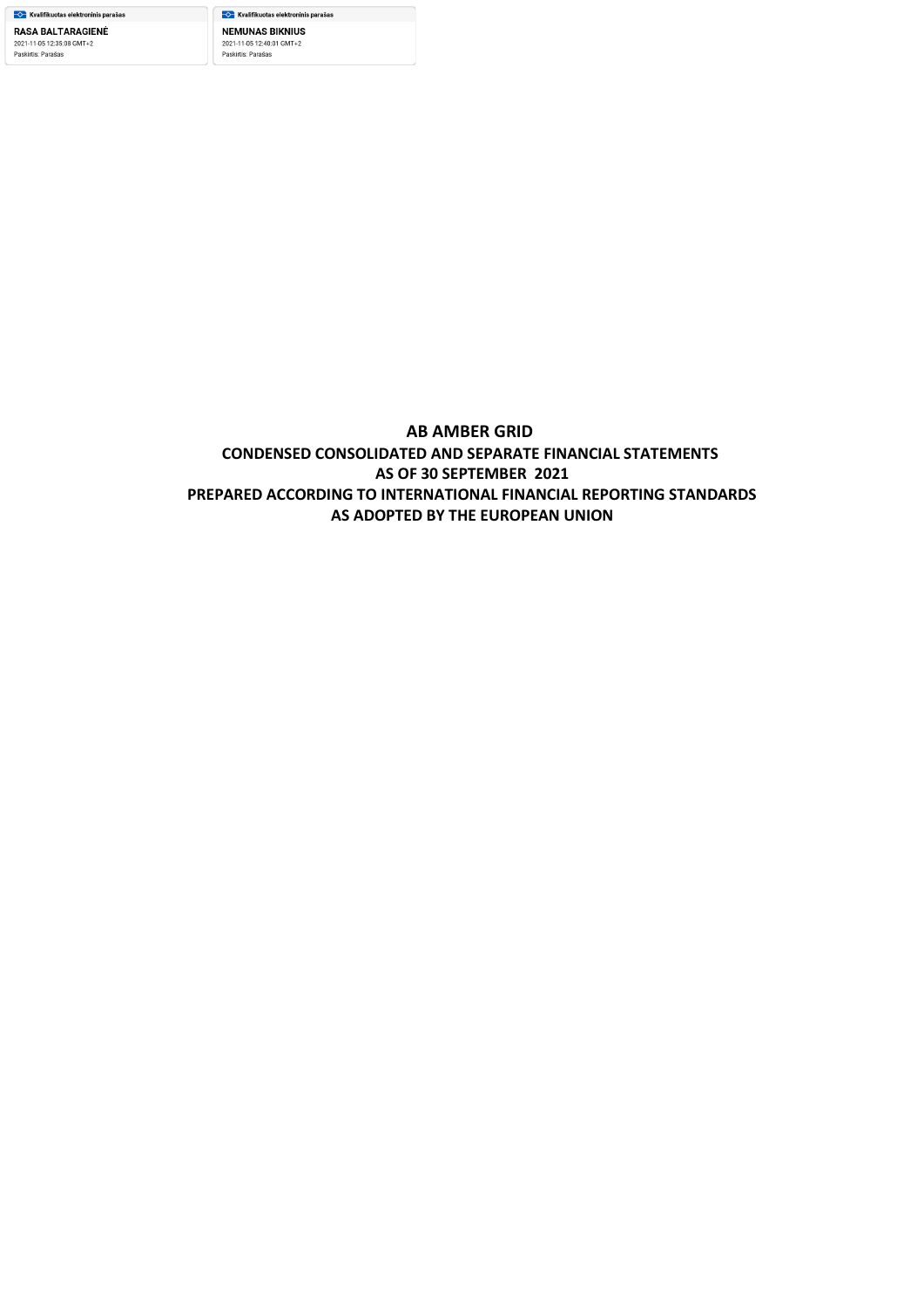—<mark>√ K</mark>valifikuotas elektroninis parašas **NEMUNAS BIKNIUS** 2021-11-05 12:40:01 GMT+2 Paskirtis: Parašas

# **AB AMBER GRID CONDENSED CONSOLIDATED AND SEPARATE FINANCIAL STATEMENTS AS OF 30 SEPTEMBER 2021 PREPARED ACCORDING TO INTERNATIONAL FINANCIAL REPORTING STANDARDS AS ADOPTED BY THE EUROPEAN UNION**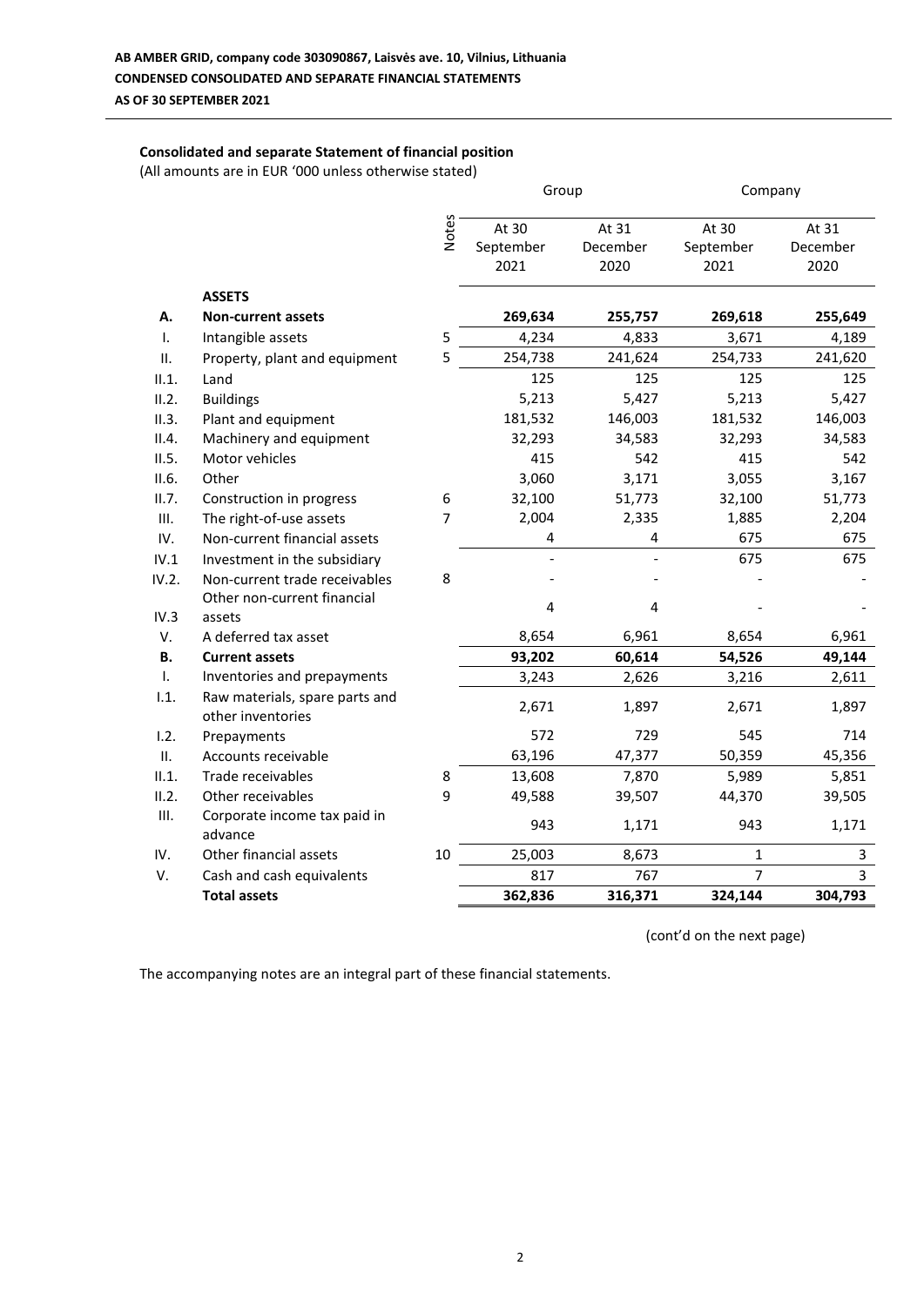### **Consolidated and separate Statement of financial position**

(All amounts are in EUR '000 unless otherwise stated)

|           |                                                     |                | Group                   |          | Company        |          |
|-----------|-----------------------------------------------------|----------------|-------------------------|----------|----------------|----------|
|           |                                                     | Notes          | At 30                   | At 31    | At 30          | At 31    |
|           |                                                     |                | September               | December | September      | December |
|           |                                                     |                | 2021                    | 2020     | 2021           | 2020     |
|           | <b>ASSETS</b>                                       |                |                         |          |                |          |
| А.        | <b>Non-current assets</b>                           |                | 269,634                 | 255,757  | 269,618        | 255,649  |
| Τ.        | Intangible assets                                   | 5              | 4,234                   | 4,833    | 3,671          | 4,189    |
| ΙΙ.       | Property, plant and equipment                       | 5              | 254,738                 | 241,624  | 254,733        | 241,620  |
| II.1.     | Land                                                |                | 125                     | 125      | 125            | 125      |
| II.2.     | <b>Buildings</b>                                    |                | 5,213                   | 5,427    | 5,213          | 5,427    |
| II.3.     | Plant and equipment                                 |                | 181,532                 | 146,003  | 181,532        | 146,003  |
| II.4.     | Machinery and equipment                             |                | 32,293                  | 34,583   | 32,293         | 34,583   |
| II.5.     | Motor vehicles                                      |                | 415                     | 542      | 415            | 542      |
| II.6.     | Other                                               |                | 3,060                   | 3,171    | 3,055          | 3,167    |
| II.7.     | Construction in progress                            | 6              | 32,100                  | 51,773   | 32,100         | 51,773   |
| III.      | The right-of-use assets                             | $\overline{7}$ | 2,004                   | 2,335    | 1,885          | 2,204    |
| IV.       | Non-current financial assets                        |                | 4                       | 4        | 675            | 675      |
| IV.1      | Investment in the subsidiary                        |                |                         |          | 675            | 675      |
| IV.2.     | Non-current trade receivables                       | 8              |                         |          |                |          |
|           | Other non-current financial                         |                | $\overline{\mathbf{4}}$ | 4        |                |          |
| IV.3      | assets                                              |                |                         |          |                |          |
| V.        | A deferred tax asset                                |                | 8,654                   | 6,961    | 8,654          | 6,961    |
| <b>B.</b> | <b>Current assets</b>                               |                | 93,202                  | 60,614   | 54,526         | 49,144   |
| Τ.        | Inventories and prepayments                         |                | 3,243                   | 2,626    | 3,216          | 2,611    |
| 1.1.      | Raw materials, spare parts and<br>other inventories |                | 2,671                   | 1,897    | 2,671          | 1,897    |
| 1.2.      | Prepayments                                         |                | 572                     | 729      | 545            | 714      |
| II.       | Accounts receivable                                 |                | 63,196                  | 47,377   | 50,359         | 45,356   |
| II.1.     | Trade receivables                                   | 8              | 13,608                  | 7,870    | 5,989          | 5,851    |
| II.2.     | Other receivables                                   | 9              | 49,588                  | 39,507   | 44,370         | 39,505   |
| III.      | Corporate income tax paid in<br>advance             |                | 943                     | 1,171    | 943            | 1,171    |
| IV.       | Other financial assets                              | 10             | 25,003                  | 8,673    | $\mathbf{1}$   | 3        |
| V.        | Cash and cash equivalents                           |                | 817                     | 767      | $\overline{7}$ | 3        |
|           | <b>Total assets</b>                                 |                | 362,836                 | 316,371  | 324,144        | 304,793  |

(cont'd on the next page)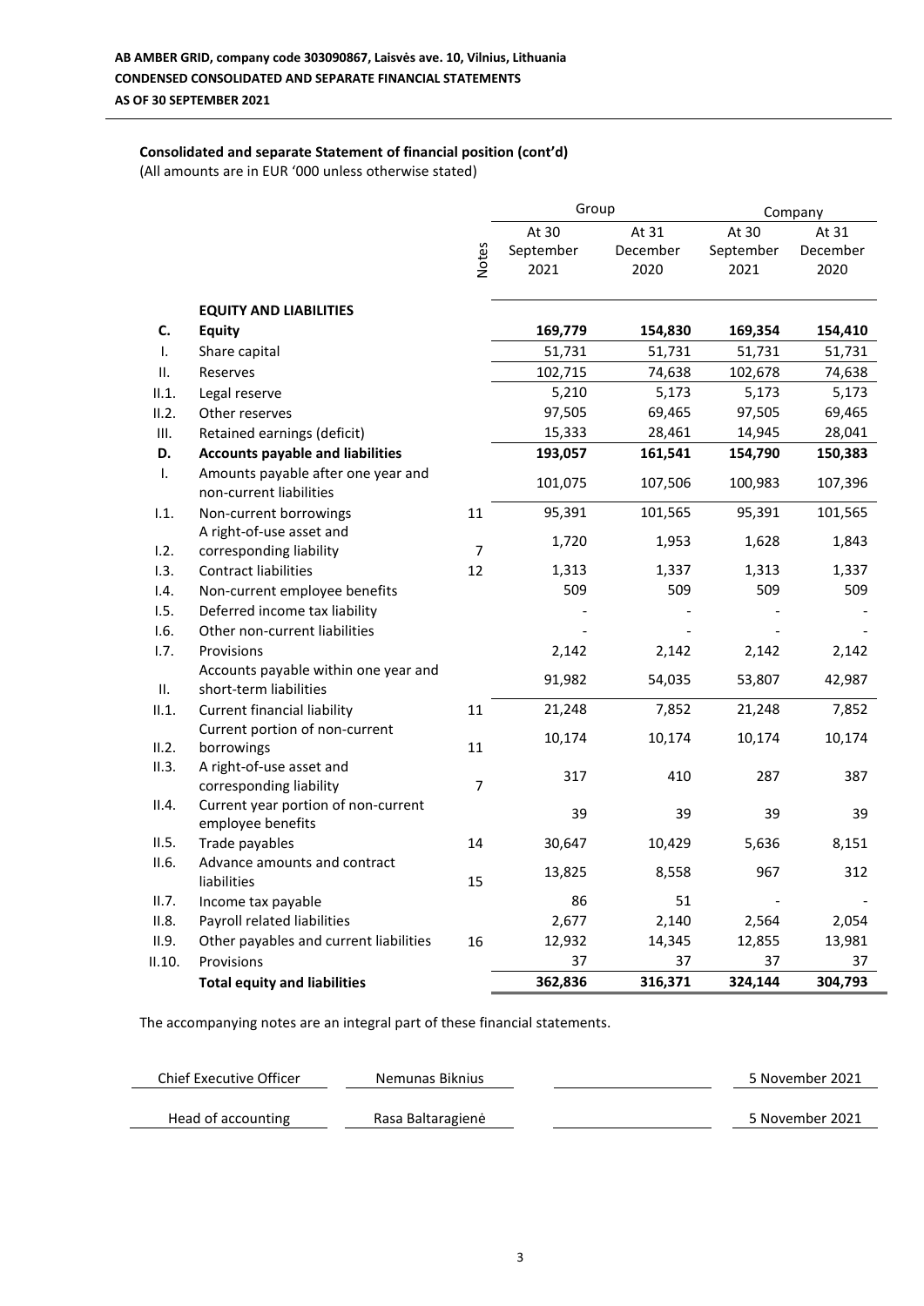# **Consolidated and separate Statement of financial position (cont'd)**

(All amounts are in EUR '000 unless otherwise stated)

|              |                                                                |                | Group     |          |           | Company  |
|--------------|----------------------------------------------------------------|----------------|-----------|----------|-----------|----------|
|              |                                                                |                | At 30     | At 31    | At 30     | At 31    |
|              |                                                                | <b>Notes</b>   | September | December | September | December |
|              |                                                                |                | 2021      | 2020     | 2021      | 2020     |
|              | <b>EQUITY AND LIABILITIES</b>                                  |                |           |          |           |          |
| C.           | <b>Equity</b>                                                  |                | 169,779   | 154,830  | 169,354   | 154,410  |
| I.           | Share capital                                                  |                | 51,731    | 51,731   | 51,731    | 51,731   |
| ΙΙ.          | Reserves                                                       |                | 102,715   | 74,638   | 102,678   | 74,638   |
| II.1.        | Legal reserve                                                  |                | 5,210     | 5,173    | 5,173     | 5,173    |
| II.2.        | Other reserves                                                 |                | 97,505    | 69,465   | 97,505    | 69,465   |
| Ш.           | Retained earnings (deficit)                                    |                | 15,333    | 28,461   | 14,945    | 28,041   |
| D.           | <b>Accounts payable and liabilities</b>                        |                | 193,057   | 161,541  | 154,790   | 150,383  |
| $\mathbf{L}$ | Amounts payable after one year and<br>non-current liabilities  |                | 101,075   | 107,506  | 100,983   | 107,396  |
| 1.1.         | Non-current borrowings                                         | 11             | 95,391    | 101,565  | 95,391    | 101,565  |
|              | A right-of-use asset and                                       |                | 1,720     | 1,953    | 1,628     | 1,843    |
| 1.2.         | corresponding liability                                        | $\overline{7}$ |           |          |           |          |
| 1.3.         | <b>Contract liabilities</b>                                    | 12             | 1,313     | 1,337    | 1,313     | 1,337    |
| 1.4.         | Non-current employee benefits                                  |                | 509       | 509      | 509       | 509      |
| 1.5.         | Deferred income tax liability                                  |                |           |          |           |          |
| 1.6.         | Other non-current liabilities                                  |                |           |          |           |          |
| 1.7.         | Provisions                                                     |                | 2,142     | 2,142    | 2,142     | 2,142    |
| Ш.           | Accounts payable within one year and<br>short-term liabilities |                | 91,982    | 54,035   | 53,807    | 42,987   |
| II.1.        | <b>Current financial liability</b>                             | 11             | 21,248    | 7,852    | 21,248    | 7,852    |
|              | Current portion of non-current                                 |                | 10,174    | 10,174   | 10,174    | 10,174   |
| II.2.        | borrowings                                                     | 11             |           |          |           |          |
| II.3.        | A right-of-use asset and                                       |                | 317       | 410      | 287       | 387      |
|              | corresponding liability                                        | 7              |           |          |           |          |
| II.4.        | Current year portion of non-current                            |                | 39        | 39       | 39        | 39       |
| II.5.        | employee benefits                                              |                |           |          |           |          |
| II.6.        | Trade payables<br>Advance amounts and contract                 | 14             | 30,647    | 10,429   | 5,636     | 8,151    |
|              | liabilities                                                    | 15             | 13,825    | 8,558    | 967       | 312      |
| II.7.        | Income tax payable                                             |                | 86        | 51       |           |          |
| II.8.        | Payroll related liabilities                                    |                | 2,677     | 2,140    | 2,564     | 2,054    |
| II.9.        | Other payables and current liabilities                         | 16             | 12,932    | 14,345   | 12,855    | 13,981   |
| II.10.       | Provisions                                                     |                | 37        | 37       | 37        | 37       |
|              | <b>Total equity and liabilities</b>                            |                | 362,836   | 316,371  | 324,144   | 304,793  |

| Chief Executive Officer | Nemunas Biknius   | 5 November 2021 |
|-------------------------|-------------------|-----------------|
| Head of accounting      | Rasa Baltaragienė | 5 November 2021 |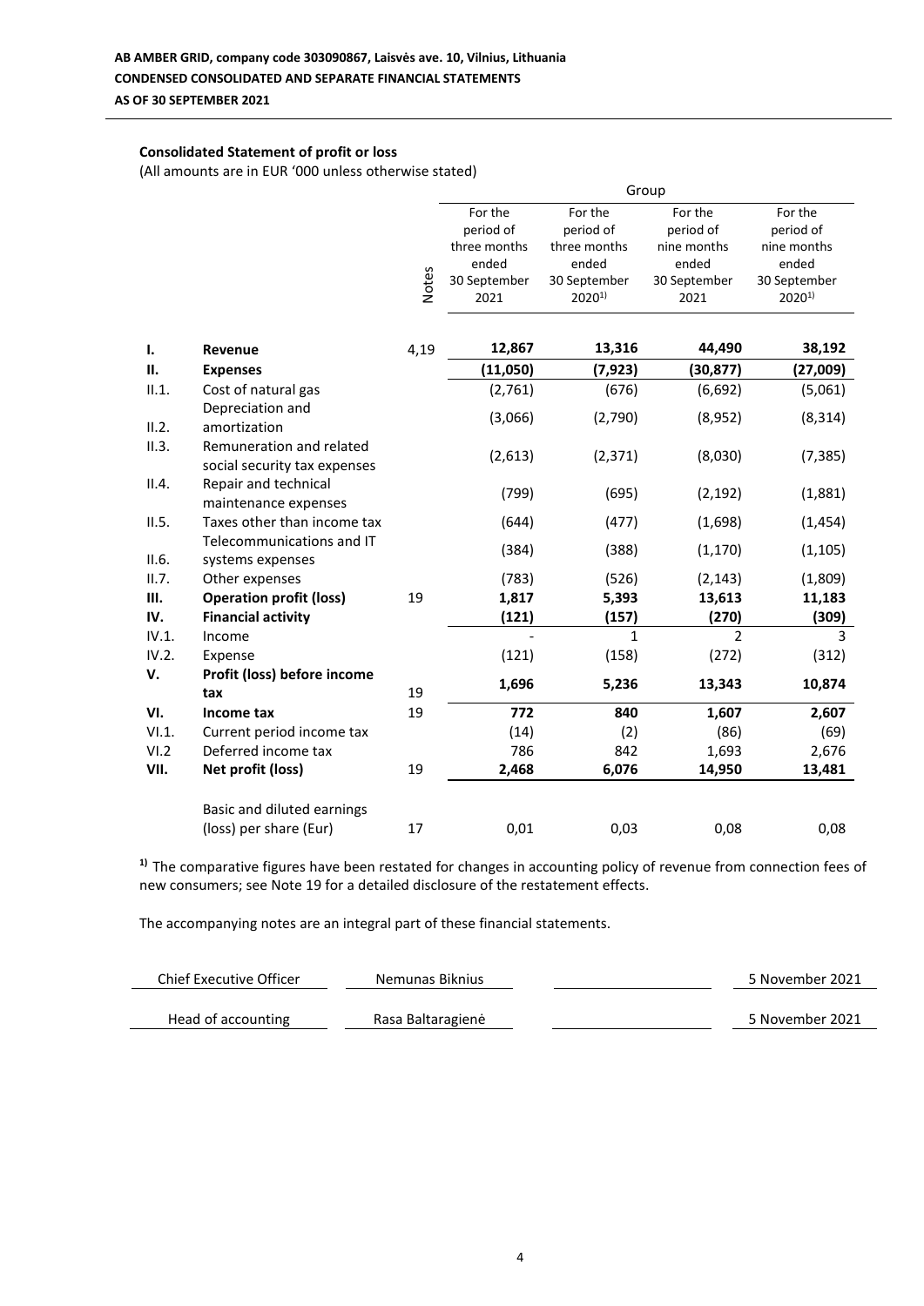### **Consolidated Statement of profit or loss**

(All amounts are in EUR '000 unless otherwise stated)

|       |                                                          | Group        |                                                                       |                                                                             |                                                                      |                                                                            |
|-------|----------------------------------------------------------|--------------|-----------------------------------------------------------------------|-----------------------------------------------------------------------------|----------------------------------------------------------------------|----------------------------------------------------------------------------|
|       |                                                          | <b>Notes</b> | For the<br>period of<br>three months<br>ended<br>30 September<br>2021 | For the<br>period of<br>three months<br>ended<br>30 September<br>$2020^{1}$ | For the<br>period of<br>nine months<br>ended<br>30 September<br>2021 | For the<br>period of<br>nine months<br>ended<br>30 September<br>$2020^{1}$ |
| ı.    | Revenue                                                  | 4,19         | 12,867                                                                | 13,316                                                                      | 44,490                                                               | 38,192                                                                     |
| П.    | <b>Expenses</b>                                          |              | (11,050)                                                              | (7, 923)                                                                    | (30, 877)                                                            | (27,009)                                                                   |
| II.1. | Cost of natural gas                                      |              | (2,761)                                                               | (676)                                                                       | (6,692)                                                              | (5,061)                                                                    |
| II.2. | Depreciation and<br>amortization                         |              | (3,066)                                                               | (2,790)                                                                     | (8,952)                                                              | (8, 314)                                                                   |
| II.3. | Remuneration and related<br>social security tax expenses |              | (2,613)                                                               | (2, 371)                                                                    | (8,030)                                                              | (7, 385)                                                                   |
| II.4. | Repair and technical<br>maintenance expenses             |              | (799)                                                                 | (695)                                                                       | (2, 192)                                                             | (1,881)                                                                    |
| II.5. | Taxes other than income tax                              |              | (644)                                                                 | (477)                                                                       | (1,698)                                                              | (1, 454)                                                                   |
| II.6. | Telecommunications and IT<br>systems expenses            |              | (384)                                                                 | (388)                                                                       | (1, 170)                                                             | (1, 105)                                                                   |
| II.7. | Other expenses                                           |              | (783)                                                                 | (526)                                                                       | (2, 143)                                                             | (1,809)                                                                    |
| Ш.    | <b>Operation profit (loss)</b>                           | 19           | 1,817                                                                 | 5,393                                                                       | 13,613                                                               | 11,183                                                                     |
| IV.   | <b>Financial activity</b>                                |              | (121)                                                                 | (157)                                                                       | (270)                                                                | (309)                                                                      |
| IV.1. | Income                                                   |              |                                                                       | 1                                                                           | $\mathfrak{p}$                                                       | 3                                                                          |
| IV.2. | Expense                                                  |              | (121)                                                                 | (158)                                                                       | (272)                                                                | (312)                                                                      |
| V.    | Profit (loss) before income<br>tax                       | 19           | 1,696                                                                 | 5,236                                                                       | 13,343                                                               | 10,874                                                                     |
| VI.   | Income tax                                               | 19           | 772                                                                   | 840                                                                         | 1,607                                                                | 2,607                                                                      |
| VI.1. | Current period income tax                                |              | (14)                                                                  | (2)                                                                         | (86)                                                                 | (69)                                                                       |
| VI.2  | Deferred income tax                                      |              | 786                                                                   | 842                                                                         | 1,693                                                                | 2,676                                                                      |
| VII.  | Net profit (loss)                                        | 19           | 2,468                                                                 | 6,076                                                                       | 14,950                                                               | 13,481                                                                     |
|       | Basic and diluted earnings                               |              |                                                                       |                                                                             |                                                                      |                                                                            |
|       | (loss) per share (Eur)                                   | 17           | 0,01                                                                  | 0,03                                                                        | 0,08                                                                 | 0,08                                                                       |

**1)** The comparative figures have been restated for changes in accounting policy of revenue from connection fees of new consumers; see Note 19 for a detailed disclosure of the restatement effects.

| Chief Executive Officer | Nemunas Biknius   | 5 November 2021 |
|-------------------------|-------------------|-----------------|
| Head of accounting      | Rasa Baltaragienė | 5 November 2021 |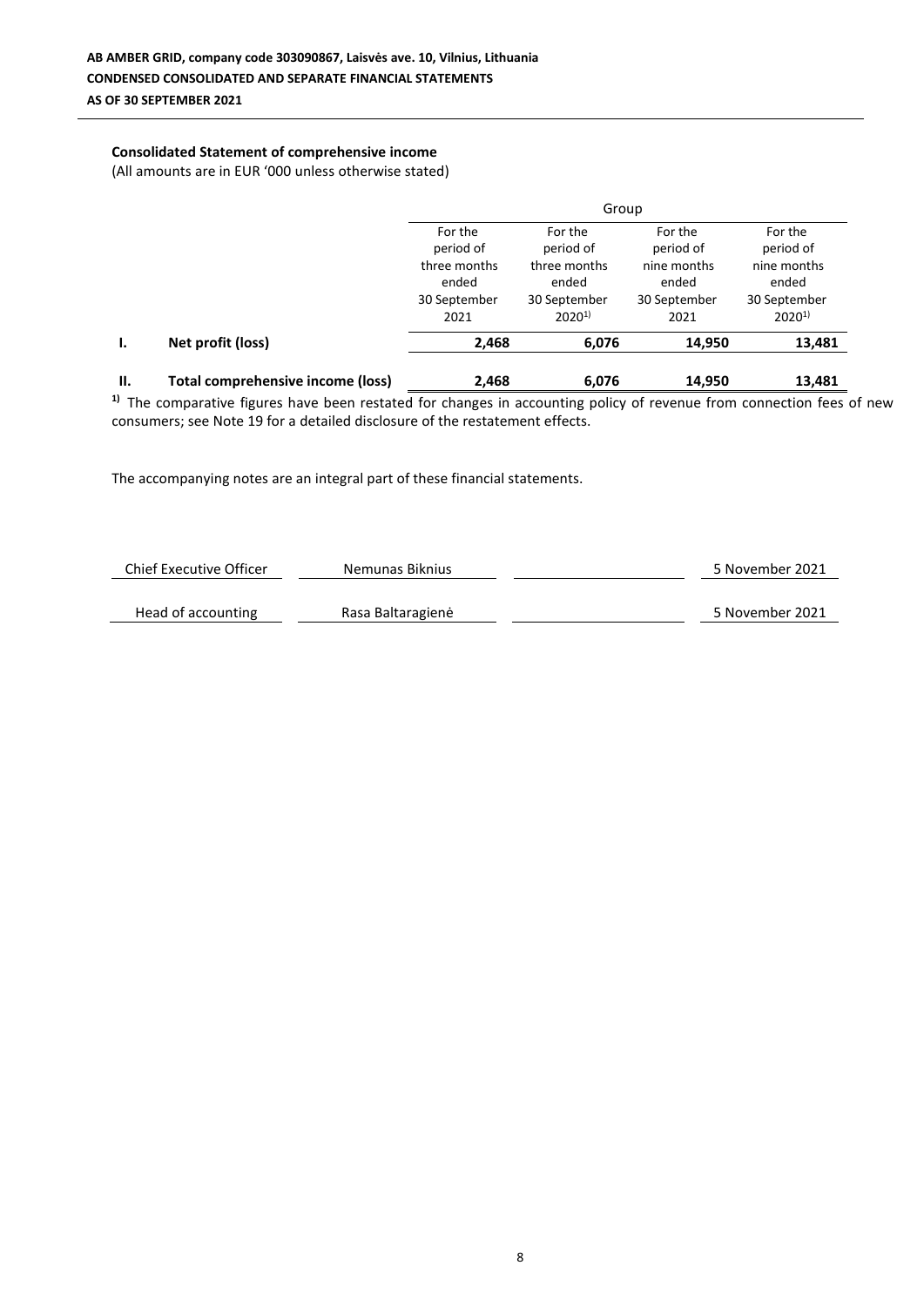### **Consolidated Statement of comprehensive income**

(All amounts are in EUR '000 unless otherwise stated)

|    |                                   | Group                                         |                                                     |                                              |                                                    |  |  |
|----|-----------------------------------|-----------------------------------------------|-----------------------------------------------------|----------------------------------------------|----------------------------------------------------|--|--|
|    |                                   | For the<br>period of                          | For the<br>period of                                | For the<br>period of                         | For the<br>period of                               |  |  |
|    |                                   | three months<br>ended<br>30 September<br>2021 | three months<br>ended<br>30 September<br>$2020^{1}$ | nine months<br>ended<br>30 September<br>2021 | nine months<br>ended<br>30 September<br>$2020^{1}$ |  |  |
| ı. | Net profit (loss)                 | 2,468                                         | 6,076                                               | 14,950                                       | 13,481                                             |  |  |
| Ш. | Total comprehensive income (loss) | 2,468                                         | 6,076                                               | 14,950                                       | 13,481                                             |  |  |

<sup>1)</sup> The comparative figures have been restated for changes in accounting policy of revenue from connection fees of new consumers; see Note 19 for a detailed disclosure of the restatement effects.

| Chief Executive Officer | Nemunas Biknius   | 5 November 2021 |
|-------------------------|-------------------|-----------------|
|                         |                   |                 |
| Head of accounting      | Rasa Baltaragienė | 5 November 2021 |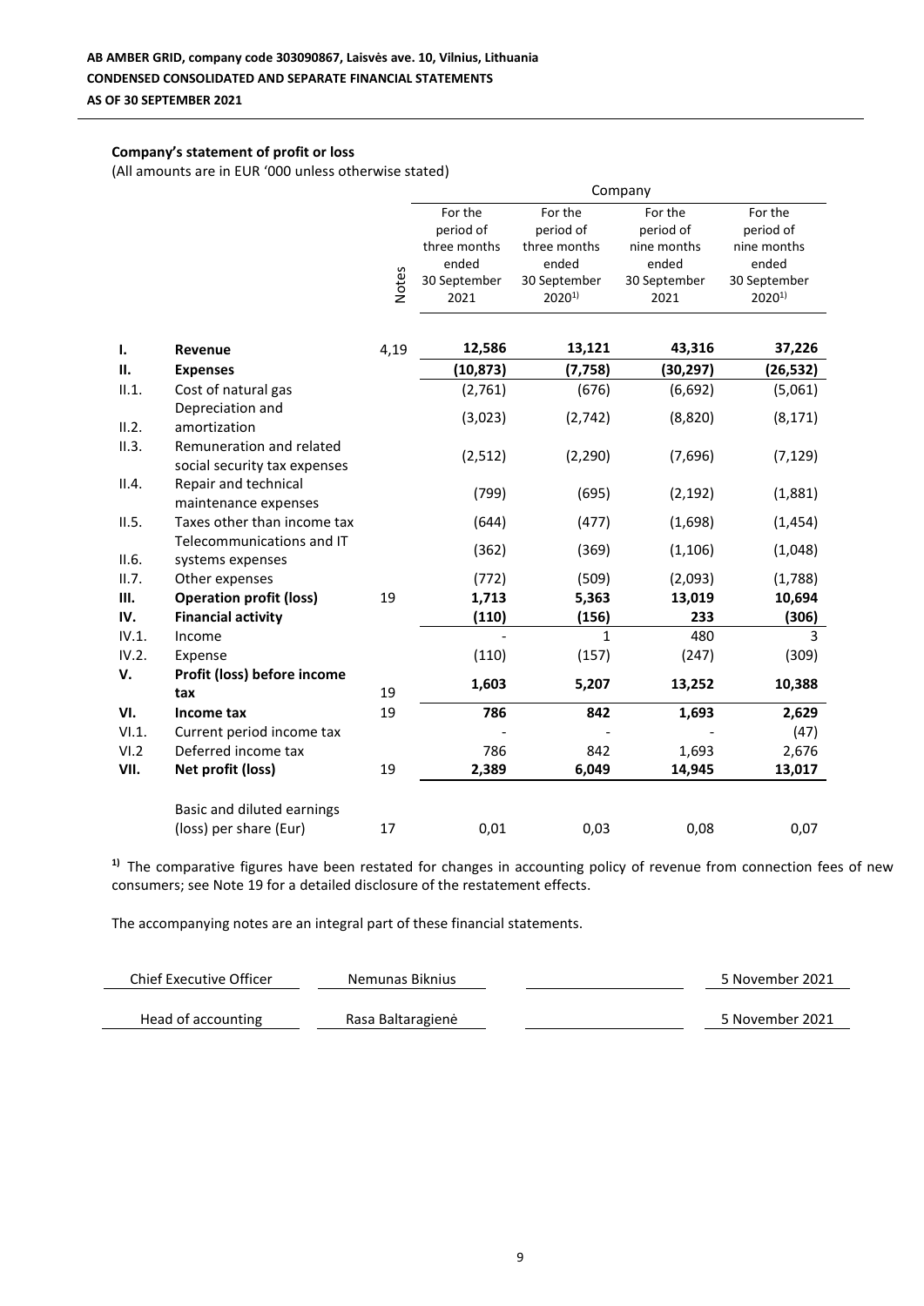### **Company's statement of profit or loss**

(All amounts are in EUR '000 unless otherwise stated)

|       |                                                          | Company      |                                                                       |                                                                             |                                                                      |                                                                            |
|-------|----------------------------------------------------------|--------------|-----------------------------------------------------------------------|-----------------------------------------------------------------------------|----------------------------------------------------------------------|----------------------------------------------------------------------------|
|       |                                                          | <b>Notes</b> | For the<br>period of<br>three months<br>ended<br>30 September<br>2021 | For the<br>period of<br>three months<br>ended<br>30 September<br>$2020^{1}$ | For the<br>period of<br>nine months<br>ended<br>30 September<br>2021 | For the<br>period of<br>nine months<br>ended<br>30 September<br>$2020^{1}$ |
| ı.    | Revenue                                                  | 4,19         | 12,586                                                                | 13,121                                                                      | 43,316                                                               | 37,226                                                                     |
| П.    | <b>Expenses</b>                                          |              | (10, 873)                                                             | (7, 758)                                                                    | (30, 297)                                                            | (26, 532)                                                                  |
| II.1. | Cost of natural gas                                      |              | (2,761)                                                               | (676)                                                                       | (6, 692)                                                             | (5,061)                                                                    |
| II.2. | Depreciation and<br>amortization                         |              | (3,023)                                                               | (2,742)                                                                     | (8,820)                                                              | (8, 171)                                                                   |
| II.3. | Remuneration and related<br>social security tax expenses |              | (2, 512)                                                              | (2, 290)                                                                    | (7,696)                                                              | (7, 129)                                                                   |
| II.4. | Repair and technical<br>maintenance expenses             |              | (799)                                                                 | (695)                                                                       | (2, 192)                                                             | (1,881)                                                                    |
| II.5. | Taxes other than income tax                              |              | (644)                                                                 | (477)                                                                       | (1,698)                                                              | (1, 454)                                                                   |
| II.6. | Telecommunications and IT<br>systems expenses            |              | (362)                                                                 | (369)                                                                       | (1, 106)                                                             | (1,048)                                                                    |
| II.7. | Other expenses                                           |              | (772)                                                                 | (509)                                                                       | (2,093)                                                              | (1,788)                                                                    |
| Ш.    | <b>Operation profit (loss)</b>                           | 19           | 1,713                                                                 | 5,363                                                                       | 13,019                                                               | 10,694                                                                     |
| IV.   | <b>Financial activity</b>                                |              | (110)                                                                 | (156)                                                                       | 233                                                                  | (306)                                                                      |
| IV.1. | Income                                                   |              |                                                                       | $\mathbf{1}$                                                                | 480                                                                  | 3                                                                          |
| IV.2. | Expense                                                  |              | (110)                                                                 | (157)                                                                       | (247)                                                                | (309)                                                                      |
| V.    | Profit (loss) before income<br>tax                       | 19           | 1,603                                                                 | 5,207                                                                       | 13,252                                                               | 10,388                                                                     |
| VI.   | Income tax                                               | 19           | 786                                                                   | 842                                                                         | 1,693                                                                | 2,629                                                                      |
| VI.1. | Current period income tax                                |              |                                                                       |                                                                             |                                                                      | (47)                                                                       |
| VI.2  | Deferred income tax                                      |              | 786                                                                   | 842                                                                         | 1,693                                                                | 2,676                                                                      |
| VII.  | Net profit (loss)                                        | 19           | 2,389                                                                 | 6,049                                                                       | 14,945                                                               | 13,017                                                                     |
|       | Basic and diluted earnings                               |              |                                                                       |                                                                             |                                                                      |                                                                            |
|       | (loss) per share (Eur)                                   | 17           | 0,01                                                                  | 0,03                                                                        | 0,08                                                                 | 0,07                                                                       |

<sup>1)</sup> The comparative figures have been restated for changes in accounting policy of revenue from connection fees of new consumers; see Note 19 for a detailed disclosure of the restatement effects.

| Chief Executive Officer | Nemunas Biknius   | 5 November 2021 |
|-------------------------|-------------------|-----------------|
| Head of accounting      | Rasa Baltaragienė | 5 November 2021 |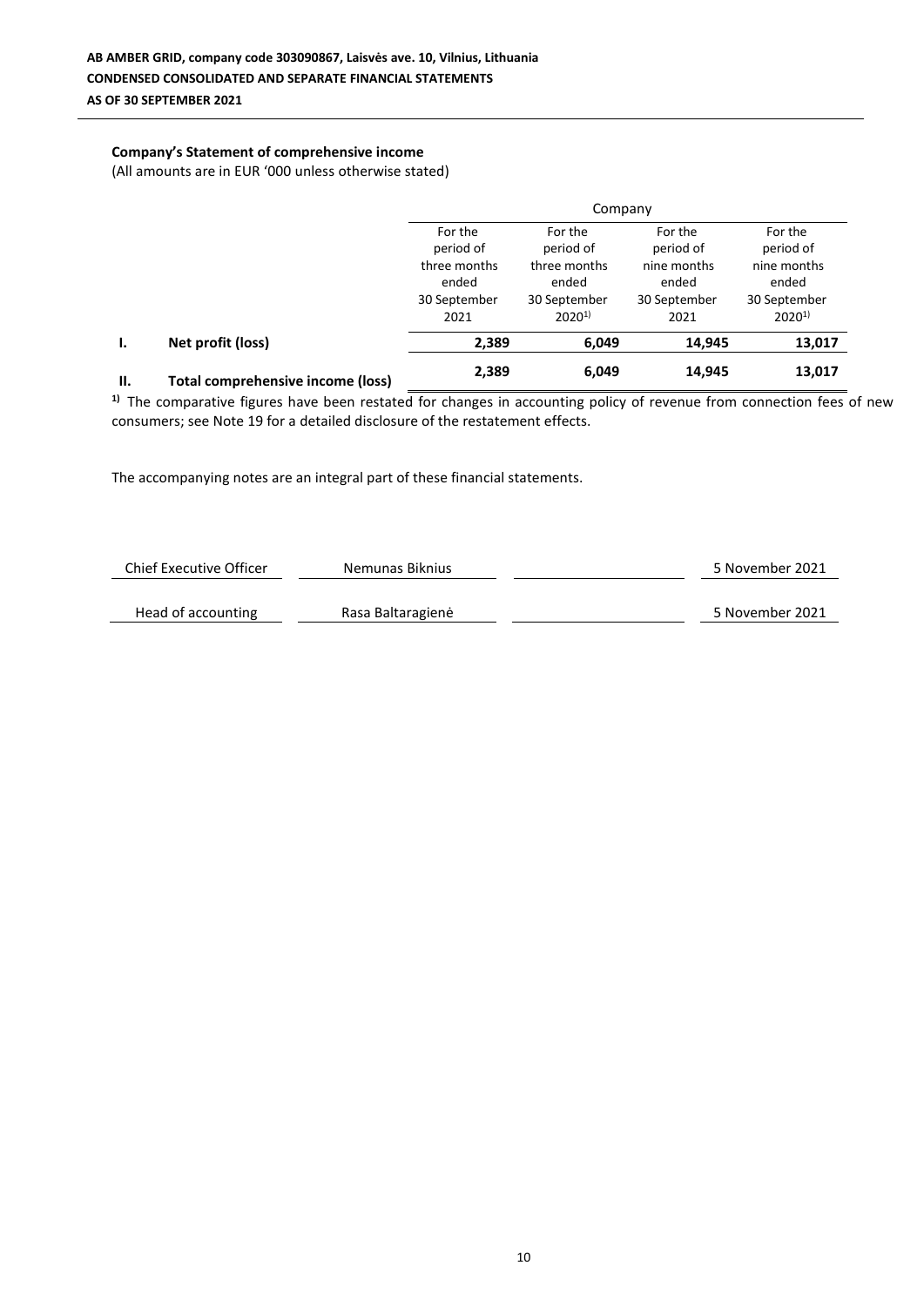### **Company's Statement of comprehensive income**

(All amounts are in EUR '000 unless otherwise stated)

|     |                                   | Company                              |                                      |                                     |                                     |  |
|-----|-----------------------------------|--------------------------------------|--------------------------------------|-------------------------------------|-------------------------------------|--|
|     |                                   | For the<br>period of<br>three months | For the<br>period of<br>three months | For the<br>period of<br>nine months | For the<br>period of<br>nine months |  |
|     |                                   | ended<br>30 September<br>2021        | ended<br>30 September<br>$2020^{1}$  | ended<br>30 September<br>2021       | ended<br>30 September<br>$2020^{1}$ |  |
| ı.  | Net profit (loss)                 | 2,389                                | 6,049                                | 14,945                              | 13,017                              |  |
| II. | Total comprehensive income (loss) | 2,389                                | 6,049                                | 14,945                              | 13,017                              |  |

**1)** The comparative figures have been restated for changes in accounting policy of revenue from connection fees of new consumers; see Note 19 for a detailed disclosure of the restatement effects.

| Chief Executive Officer | Nemunas Biknius   | 5 November 2021 |
|-------------------------|-------------------|-----------------|
| Head of accounting      | Rasa Baltaragienė | 5 November 2021 |
|                         |                   |                 |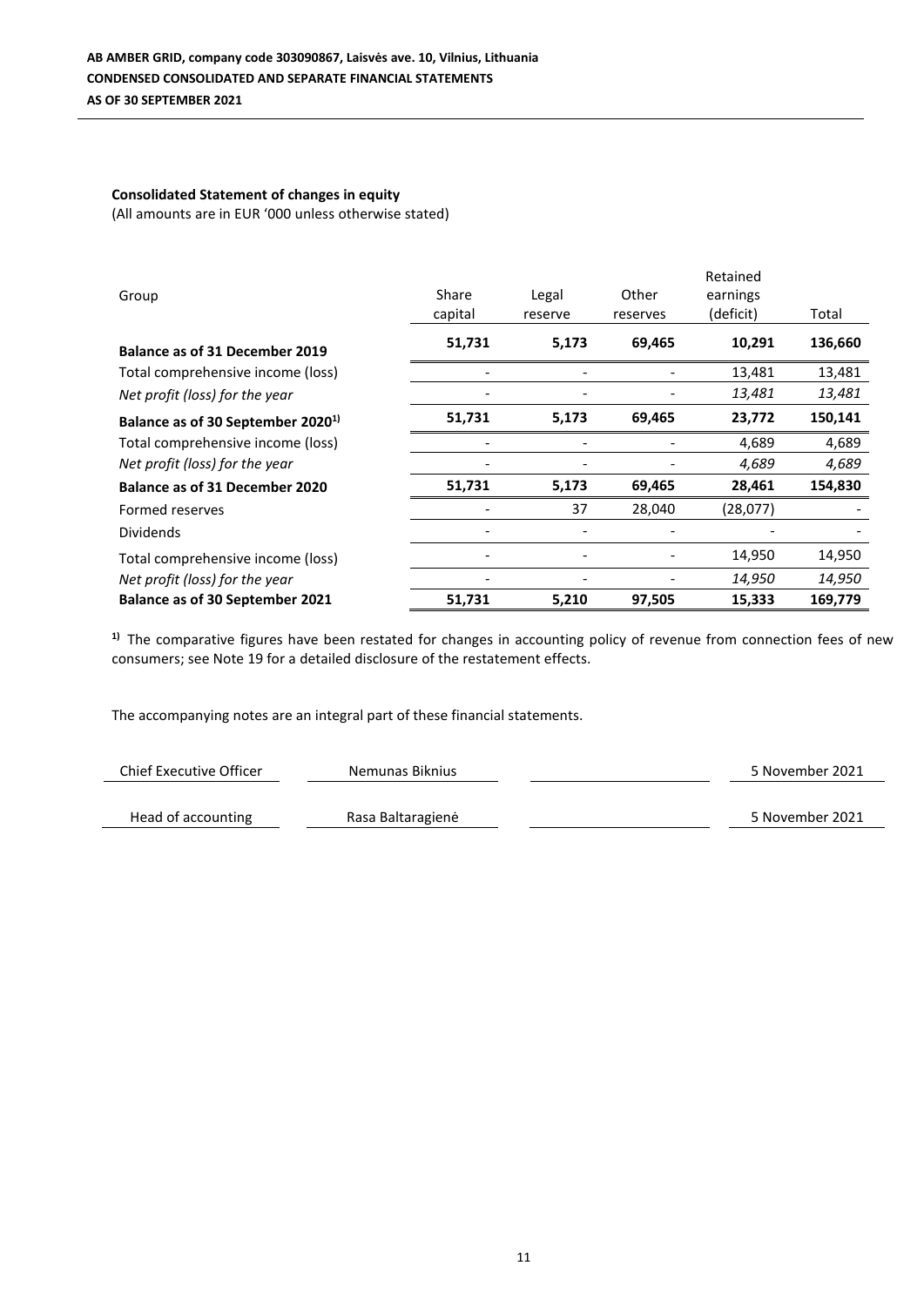### **Consolidated Statement of changes in equity** (All amounts are in EUR '000 unless otherwise stated)

|                                               |                          |         |          | Retained  |         |
|-----------------------------------------------|--------------------------|---------|----------|-----------|---------|
| Group                                         | Share                    | Legal   | Other    | earnings  |         |
|                                               | capital                  | reserve | reserves | (deficit) | Total   |
| <b>Balance as of 31 December 2019</b>         | 51,731                   | 5,173   | 69,465   | 10,291    | 136,660 |
| Total comprehensive income (loss)             | $\overline{\phantom{a}}$ |         |          | 13,481    | 13,481  |
| Net profit (loss) for the year                |                          |         |          | 13,481    | 13,481  |
| Balance as of 30 September 2020 <sup>1)</sup> | 51,731                   | 5,173   | 69,465   | 23,772    | 150,141 |
| Total comprehensive income (loss)             |                          |         |          | 4,689     | 4,689   |
| Net profit (loss) for the year                |                          |         |          | 4,689     | 4,689   |
| <b>Balance as of 31 December 2020</b>         | 51,731                   | 5,173   | 69,465   | 28,461    | 154,830 |
| Formed reserves                               |                          | 37      | 28,040   | (28,077)  |         |
| <b>Dividends</b>                              |                          |         |          |           |         |
| Total comprehensive income (loss)             |                          |         |          | 14,950    | 14,950  |
| Net profit (loss) for the year                |                          |         |          | 14,950    | 14,950  |
| <b>Balance as of 30 September 2021</b>        | 51,731                   | 5,210   | 97,505   | 15,333    | 169,779 |

<sup>1)</sup> The comparative figures have been restated for changes in accounting policy of revenue from connection fees of new consumers; see Note 19 for a detailed disclosure of the restatement effects.

| Chief Executive Officer | Nemunas Biknius   | 5 November 2021 |
|-------------------------|-------------------|-----------------|
|                         |                   |                 |
| Head of accounting      | Rasa Baltaragienė | 5 November 2021 |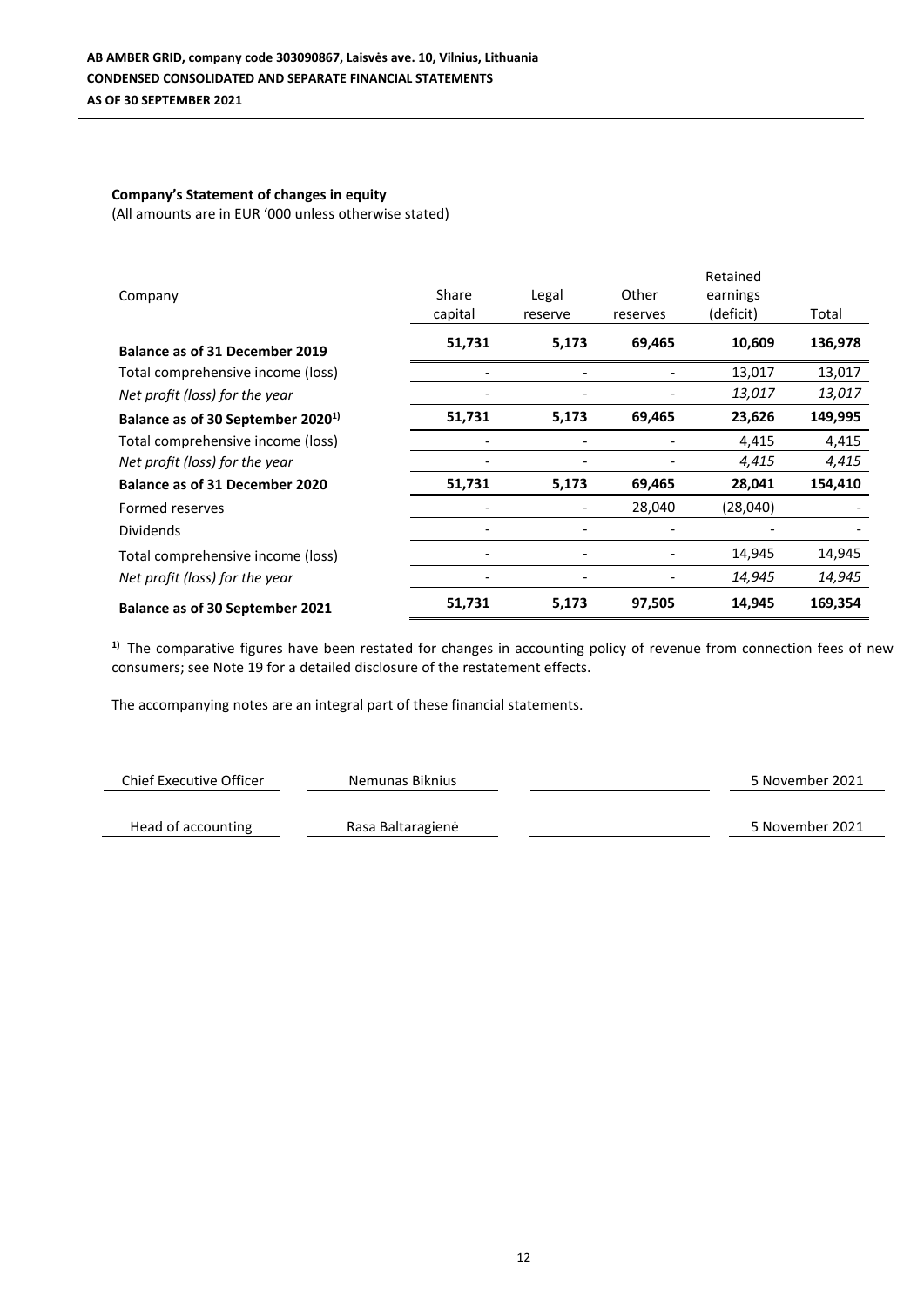# **Company's Statement of changes in equity**

(All amounts are in EUR '000 unless otherwise stated)

|                                               |                              |                              |          | Retained  |         |
|-----------------------------------------------|------------------------------|------------------------------|----------|-----------|---------|
| Company                                       | Share                        | Legal                        | Other    | earnings  |         |
|                                               | capital                      | reserve                      | reserves | (deficit) | Total   |
| <b>Balance as of 31 December 2019</b>         | 51,731                       | 5,173                        | 69,465   | 10,609    | 136,978 |
| Total comprehensive income (loss)             |                              |                              |          | 13,017    | 13,017  |
| Net profit (loss) for the year                |                              |                              |          | 13,017    | 13,017  |
| Balance as of 30 September 2020 <sup>1)</sup> | 51,731                       | 5,173                        | 69,465   | 23,626    | 149,995 |
| Total comprehensive income (loss)             | ٠                            |                              |          | 4,415     | 4,415   |
| Net profit (loss) for the year                |                              |                              |          | 4,415     | 4,415   |
| <b>Balance as of 31 December 2020</b>         | 51,731                       | 5,173                        | 69,465   | 28,041    | 154,410 |
| Formed reserves                               |                              |                              | 28,040   | (28,040)  |         |
| <b>Dividends</b>                              |                              |                              |          |           |         |
| Total comprehensive income (loss)             |                              |                              |          | 14,945    | 14,945  |
| Net profit (loss) for the year                | $\qquad \qquad \blacksquare$ | $\qquad \qquad \blacksquare$ |          | 14,945    | 14,945  |
| Balance as of 30 September 2021               | 51,731                       | 5,173                        | 97,505   | 14,945    | 169,354 |

<sup>1)</sup> The comparative figures have been restated for changes in accounting policy of revenue from connection fees of new consumers; see Note 19 for a detailed disclosure of the restatement effects.

| Chief Executive Officer | Nemunas Biknius   | 5 November 2021 |
|-------------------------|-------------------|-----------------|
|                         |                   |                 |
| Head of accounting      | Rasa Baltaragienė | 5 November 2021 |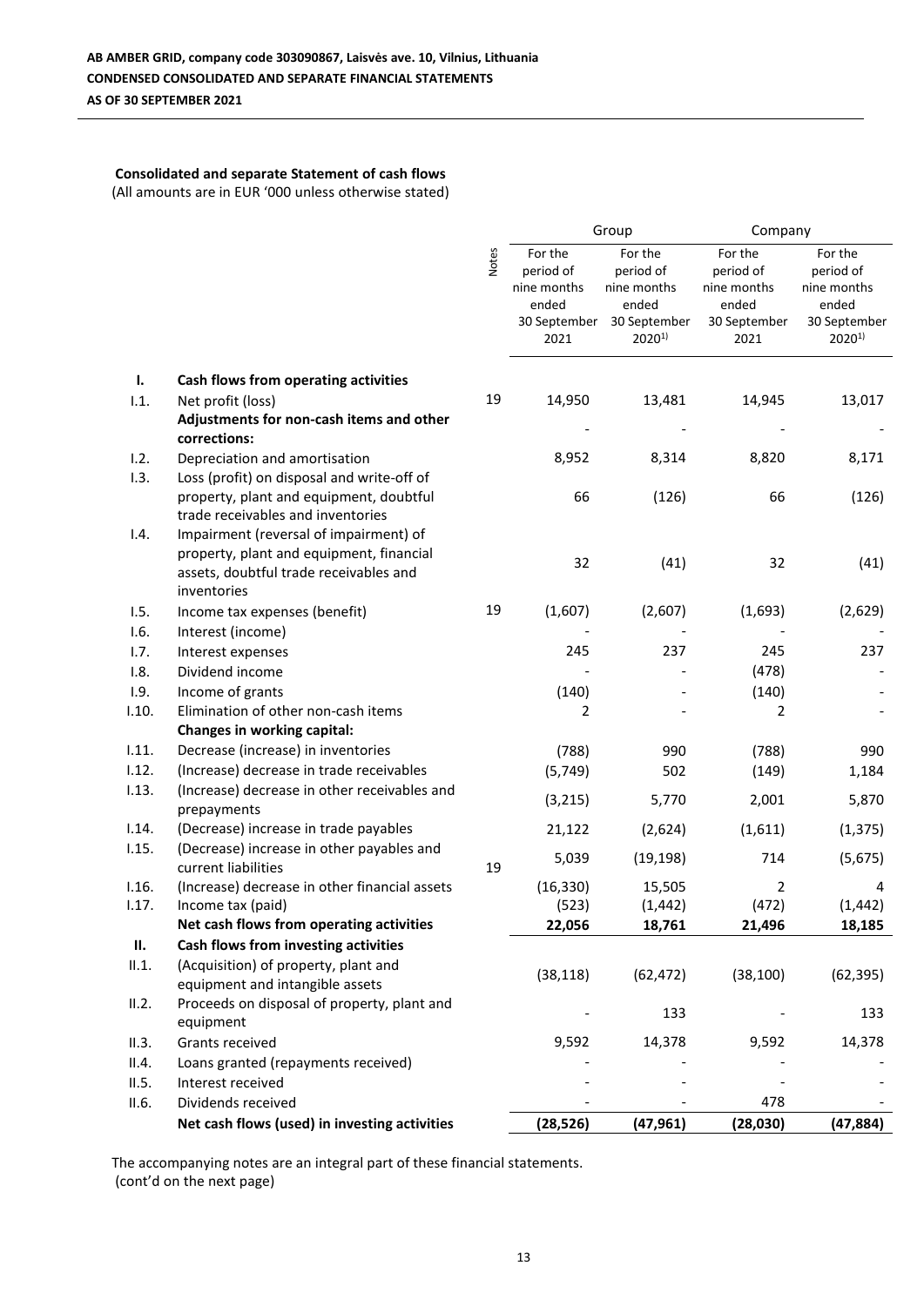# **Consolidated and separate Statement of cash flows**

(All amounts are in EUR '000 unless otherwise stated)

|       |                                                                         |              | Group                |                            | Company              |                            |
|-------|-------------------------------------------------------------------------|--------------|----------------------|----------------------------|----------------------|----------------------------|
|       |                                                                         | <b>Notes</b> | For the              | For the                    | For the              | For the                    |
|       |                                                                         |              | period of            | period of                  | period of            | period of                  |
|       |                                                                         |              | nine months          | nine months                | nine months          | nine months                |
|       |                                                                         |              | ended                | ended                      | ended                | ended                      |
|       |                                                                         |              | 30 September<br>2021 | 30 September<br>$2020^{1}$ | 30 September<br>2021 | 30 September<br>$2020^{1}$ |
|       |                                                                         |              |                      |                            |                      |                            |
| ı.    | Cash flows from operating activities                                    |              |                      |                            |                      |                            |
| 1.1.  | Net profit (loss)                                                       | 19           | 14,950               | 13,481                     | 14,945               | 13,017                     |
|       | Adjustments for non-cash items and other                                |              |                      |                            |                      |                            |
|       | corrections:                                                            |              |                      |                            |                      |                            |
| 1.2.  | Depreciation and amortisation                                           |              | 8,952                | 8,314                      | 8,820                | 8,171                      |
| 1.3.  | Loss (profit) on disposal and write-off of                              |              |                      |                            |                      |                            |
|       | property, plant and equipment, doubtful                                 |              | 66                   | (126)                      | 66                   | (126)                      |
|       | trade receivables and inventories                                       |              |                      |                            |                      |                            |
| 1.4.  | Impairment (reversal of impairment) of                                  |              |                      |                            |                      |                            |
|       | property, plant and equipment, financial                                |              | 32                   | (41)                       | 32                   | (41)                       |
|       | assets, doubtful trade receivables and                                  |              |                      |                            |                      |                            |
|       | inventories                                                             |              |                      |                            |                      |                            |
| 1.5.  | Income tax expenses (benefit)                                           | 19           | (1,607)              | (2,607)                    | (1,693)              | (2,629)                    |
| 1.6.  | Interest (income)                                                       |              |                      |                            |                      |                            |
| 1.7.  | Interest expenses                                                       |              | 245                  | 237                        | 245                  | 237                        |
| 1.8.  | Dividend income                                                         |              |                      |                            | (478)                |                            |
| 1.9.  | Income of grants                                                        |              | (140)                |                            | (140)                |                            |
| 1.10. | Elimination of other non-cash items                                     |              | 2                    |                            | 2                    |                            |
|       | Changes in working capital:                                             |              |                      |                            |                      |                            |
| 1.11. | Decrease (increase) in inventories                                      |              | (788)                | 990                        | (788)                | 990                        |
| 1.12. | (Increase) decrease in trade receivables                                |              | (5, 749)             | 502                        | (149)                | 1,184                      |
| 1.13. | (Increase) decrease in other receivables and                            |              | (3, 215)             | 5,770                      | 2,001                | 5,870                      |
|       | prepayments                                                             |              |                      |                            |                      |                            |
| 1.14. | (Decrease) increase in trade payables                                   |              | 21,122               | (2,624)                    | (1,611)              | (1, 375)                   |
| 1.15. | (Decrease) increase in other payables and                               |              | 5,039                | (19, 198)                  | 714                  | (5,675)                    |
|       | current liabilities                                                     | 19           |                      |                            |                      |                            |
| 1.16. | (Increase) decrease in other financial assets                           |              | (16, 330)            | 15,505                     | 2                    | 4                          |
| 1.17. | Income tax (paid)                                                       |              | (523)                | (1, 442)                   | (472)                | (1, 442)                   |
|       | Net cash flows from operating activities                                |              | 22,056               | 18,761                     | 21,496               | 18,185                     |
| П.    | Cash flows from investing activities                                    |              |                      |                            |                      |                            |
| II.1. | (Acquisition) of property, plant and<br>equipment and intangible assets |              | (38, 118)            | (62, 472)                  | (38, 100)            | (62, 395)                  |
| II.2. | Proceeds on disposal of property, plant and                             |              |                      |                            |                      |                            |
|       | equipment                                                               |              |                      | 133                        |                      | 133                        |
| II.3. | Grants received                                                         |              | 9,592                | 14,378                     | 9,592                | 14,378                     |
| II.4. | Loans granted (repayments received)                                     |              |                      |                            |                      |                            |
| II.5. | Interest received                                                       |              |                      |                            |                      |                            |
| II.6. | Dividends received                                                      |              |                      |                            | 478                  |                            |
|       | Net cash flows (used) in investing activities                           |              | (28, 526)            | (47, 961)                  | (28,030)             | (47, 884)                  |
|       |                                                                         |              |                      |                            |                      |                            |

The accompanying notes are an integral part of these financial statements. (cont'd on the next page)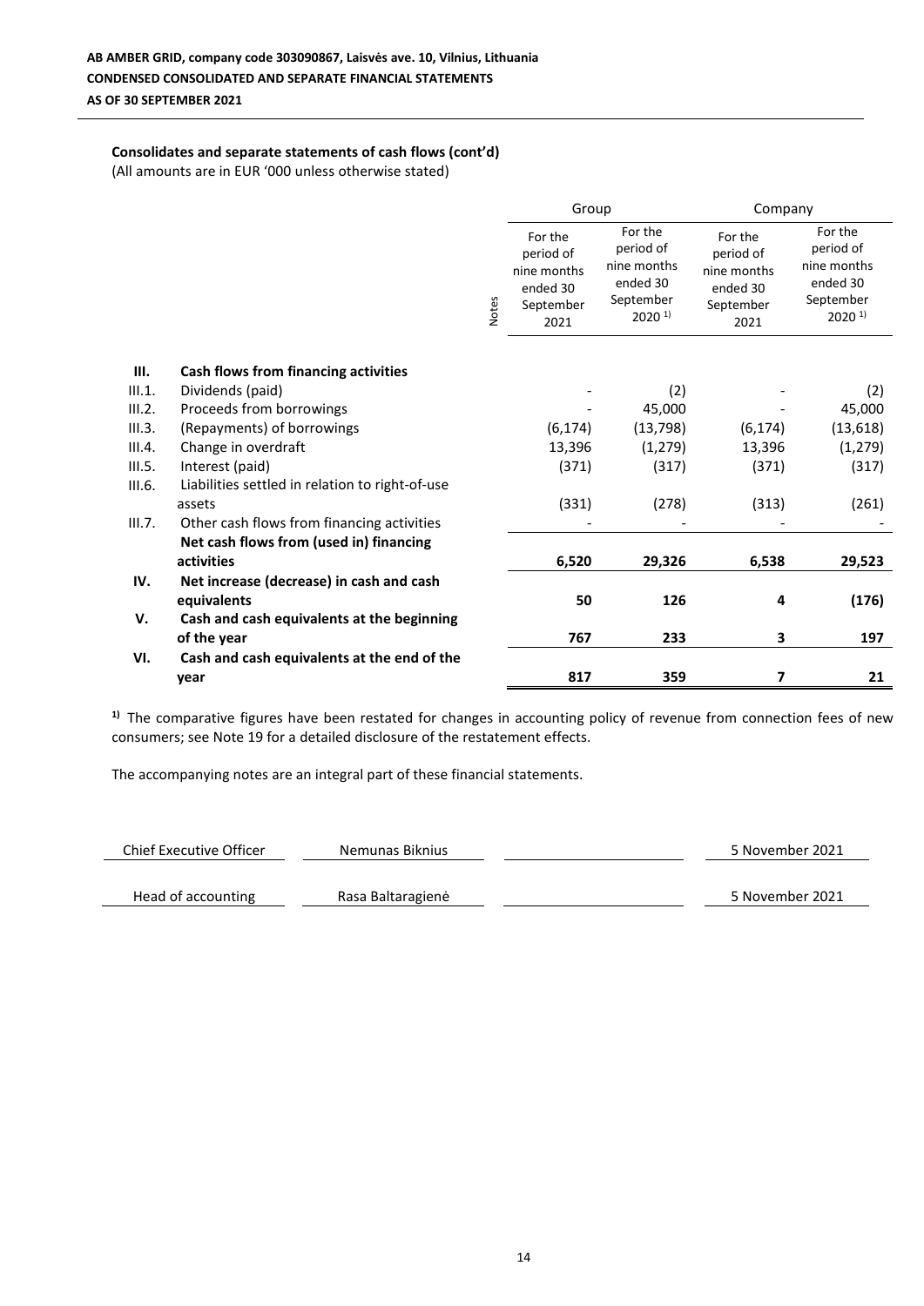### **Consolidates and separate statements of cash flows (cont'd)**

(All amounts are in EUR '000 unless otherwise stated)

|        |                                                 |              | Group                                                                |                                                                                   | Company                                                              |                                                                                   |
|--------|-------------------------------------------------|--------------|----------------------------------------------------------------------|-----------------------------------------------------------------------------------|----------------------------------------------------------------------|-----------------------------------------------------------------------------------|
|        |                                                 | <b>Notes</b> | For the<br>period of<br>nine months<br>ended 30<br>September<br>2021 | For the<br>period of<br>nine months<br>ended 30<br>September<br>2020 <sup>1</sup> | For the<br>period of<br>nine months<br>ended 30<br>September<br>2021 | For the<br>period of<br>nine months<br>ended 30<br>September<br>2020 <sup>1</sup> |
|        |                                                 |              |                                                                      |                                                                                   |                                                                      |                                                                                   |
| III.   | Cash flows from financing activities            |              |                                                                      |                                                                                   |                                                                      |                                                                                   |
| III.1. | Dividends (paid)                                |              |                                                                      | (2)                                                                               |                                                                      | (2)                                                                               |
| III.2. | Proceeds from borrowings                        |              |                                                                      | 45,000                                                                            |                                                                      | 45,000                                                                            |
| III.3. | (Repayments) of borrowings                      |              | (6, 174)                                                             | (13, 798)                                                                         | (6, 174)                                                             | (13, 618)                                                                         |
| III.4. | Change in overdraft                             |              | 13,396                                                               | (1, 279)                                                                          | 13,396                                                               | (1, 279)                                                                          |
| III.5. | Interest (paid)                                 |              | (371)                                                                | (317)                                                                             | (371)                                                                | (317)                                                                             |
| III.6. | Liabilities settled in relation to right-of-use |              |                                                                      |                                                                                   |                                                                      |                                                                                   |
|        | assets                                          |              | (331)                                                                | (278)                                                                             | (313)                                                                | (261)                                                                             |
| III.7. | Other cash flows from financing activities      |              |                                                                      |                                                                                   |                                                                      |                                                                                   |
|        | Net cash flows from (used in) financing         |              |                                                                      |                                                                                   |                                                                      |                                                                                   |
|        | activities                                      |              | 6,520                                                                | 29,326                                                                            | 6,538                                                                | 29,523                                                                            |
| IV.    | Net increase (decrease) in cash and cash        |              |                                                                      |                                                                                   |                                                                      |                                                                                   |
|        | equivalents                                     |              | 50                                                                   | 126                                                                               | 4                                                                    | (176)                                                                             |
| v.     | Cash and cash equivalents at the beginning      |              |                                                                      |                                                                                   |                                                                      |                                                                                   |
|        | of the year                                     |              | 767                                                                  | 233                                                                               | 3                                                                    | 197                                                                               |
| VI.    | Cash and cash equivalents at the end of the     |              |                                                                      |                                                                                   |                                                                      |                                                                                   |
|        | year                                            |              | 817                                                                  | 359                                                                               | 7                                                                    | 21                                                                                |

<sup>1)</sup> The comparative figures have been restated for changes in accounting policy of revenue from connection fees of new consumers; see Note 19 for a detailed disclosure of the restatement effects.

| Chief Executive Officer | Nemunas Biknius   | 5 November 2021 |
|-------------------------|-------------------|-----------------|
| Head of accounting      | Rasa Baltaragienė | 5 November 2021 |
|                         |                   |                 |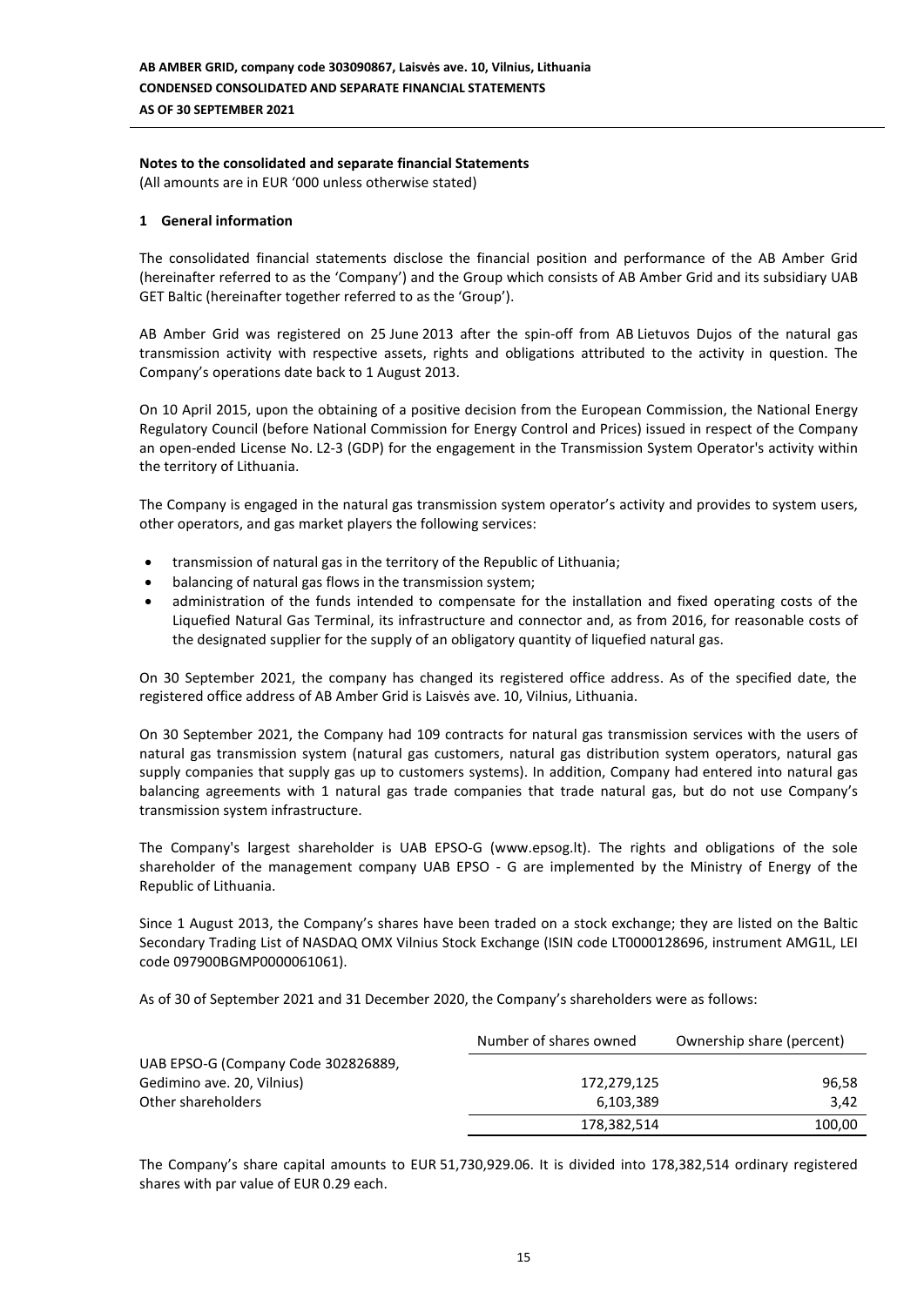# **Notes to the consolidated and separate financial Statements**

(All amounts are in EUR '000 unless otherwise stated)

### **1 General information**

The consolidated financial statements disclose the financial position and performance of the AB Amber Grid (hereinafter referred to as the 'Company') and the Group which consists of AB Amber Grid and its subsidiary UAB GET Baltic (hereinafter together referred to as the 'Group').

AB Amber Grid was registered on 25 June 2013 after the spin-off from AB Lietuvos Dujos of the natural gas transmission activity with respective assets, rights and obligations attributed to the activity in question. The Company's operations date back to 1 August 2013.

On 10 April 2015, upon the obtaining of a positive decision from the European Commission, the National Energy Regulatory Council (before National Commission for Energy Control and Prices) issued in respect of the Company an open-ended License No. L2-3 (GDP) for the engagement in the Transmission System Operator's activity within the territory of Lithuania.

The Company is engaged in the natural gas transmission system operator's activity and provides to system users, other operators, and gas market players the following services:

- transmission of natural gas in the territory of the Republic of Lithuania;
- balancing of natural gas flows in the transmission system;
- administration of the funds intended to compensate for the installation and fixed operating costs of the Liquefied Natural Gas Terminal, its infrastructure and connector and, as from 2016, for reasonable costs of the designated supplier for the supply of an obligatory quantity of liquefied natural gas.

On 30 September 2021, the company has changed its registered office address. As of the specified date, the registered office address of AB Amber Grid is Laisvės ave. 10, Vilnius, Lithuania.

On 30 September 2021, the Company had 109 contracts for natural gas transmission services with the users of natural gas transmission system (natural gas customers, natural gas distribution system operators, natural gas supply companies that supply gas up to customers systems). In addition, Company had entered into natural gas balancing agreements with 1 natural gas trade companies that trade natural gas, but do not use Company's transmission system infrastructure.

The Company's largest shareholder is UAB EPSO-G (www.epsog.lt). The rights and obligations of the sole shareholder of the management company UAB EPSO - G are implemented by the Ministry of Energy of the Republic of Lithuania.

Since 1 August 2013, the Company's shares have been traded on a stock exchange; they are listed on the Baltic Secondary Trading List of NASDAQ OMX Vilnius Stock Exchange (ISIN code LT0000128696, instrument AMG1L, LEI code 097900BGMP0000061061).

As of 30 of September 2021 and 31 December 2020, the Company's shareholders were as follows:

|                                     | Number of shares owned | Ownership share (percent) |
|-------------------------------------|------------------------|---------------------------|
| UAB EPSO-G (Company Code 302826889, |                        |                           |
| Gedimino ave. 20, Vilnius)          | 172,279,125            | 96,58                     |
| Other shareholders                  | 6,103,389              | 3.42                      |
|                                     | 178,382,514            | 100,00                    |

The Company's share capital amounts to EUR 51,730,929.06. It is divided into 178,382,514 ordinary registered shares with par value of EUR 0.29 each.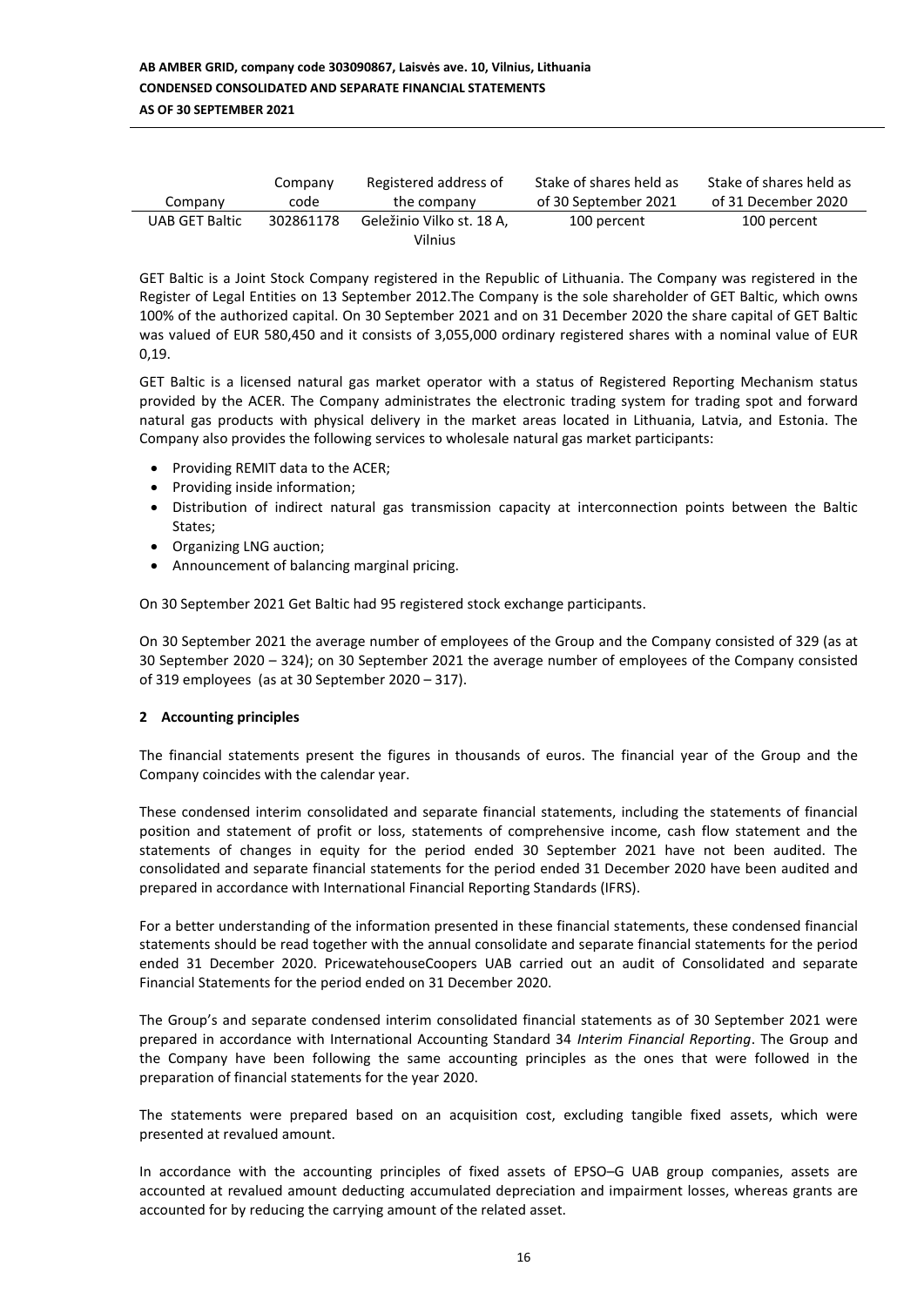| Company        | Company   | Registered address of                | Stake of shares held as | Stake of shares held as |
|----------------|-----------|--------------------------------------|-------------------------|-------------------------|
|                | code      | the company                          | of 30 September 2021    | of 31 December 2020     |
| UAB GET Baltic | 302861178 | Geležinio Vilko st. 18 A,<br>Vilnius | 100 percent             | 100 percent             |

GET Baltic is a Joint Stock Company registered in the Republic of Lithuania. The Company was registered in the Register of Legal Entities on 13 September 2012.The Company is the sole shareholder of GET Baltic, which owns 100% of the authorized capital. On 30 September 2021 and on 31 December 2020 the share capital of GET Baltic was valued of EUR 580,450 and it consists of 3,055,000 ordinary registered shares with a nominal value of EUR 0,19.

GET Baltic is a licensed natural gas market operator with a status of Registered Reporting Mechanism status provided by the ACER. The Company administrates the electronic trading system for trading spot and forward natural gas products with physical delivery in the market areas located in Lithuania, Latvia, and Estonia. The Company also provides the following services to wholesale natural gas market participants:

- Providing REMIT data to the ACER;
- Providing inside information;
- Distribution of indirect natural gas transmission capacity at interconnection points between the Baltic States;
- Organizing LNG auction;
- Announcement of balancing marginal pricing.

On 30 September 2021 Get Baltic had 95 registered stock exchange participants.

On 30 September 2021 the average number of employees of the Group and the Company consisted of 329 (as at 30 September 2020 – 324); on 30 September 2021 the average number of employees of the Company consisted of 319 employees (as at 30 September 2020 – 317).

### **2 Accounting principles**

The financial statements present the figures in thousands of euros. The financial year of the Group and the Company coincides with the calendar year.

These condensed interim consolidated and separate financial statements, including the statements of financial position and statement of profit or loss, statements of comprehensive income, cash flow statement and the statements of changes in equity for the period ended 30 September 2021 have not been audited. The consolidated and separate financial statements for the period ended 31 December 2020 have been audited and prepared in accordance with International Financial Reporting Standards (IFRS).

For a better understanding of the information presented in these financial statements, these condensed financial statements should be read together with the annual consolidate and separate financial statements for the period ended 31 December 2020. PricewatehouseCoopers UAB carried out an audit of Consolidated and separate Financial Statements for the period ended on 31 December 2020.

The Group's and separate condensed interim consolidated financial statements as of 30 September 2021 were prepared in accordance with International Accounting Standard 34 *Interim Financial Reporting*. The Group and the Company have been following the same accounting principles as the ones that were followed in the preparation of financial statements for the year 2020.

The statements were prepared based on an acquisition cost, excluding tangible fixed assets, which were presented at revalued amount.

In accordance with the accounting principles of fixed assets of EPSO–G UAB group companies, assets are accounted at revalued amount deducting accumulated depreciation and impairment losses, whereas grants are accounted for by reducing the carrying amount of the related asset.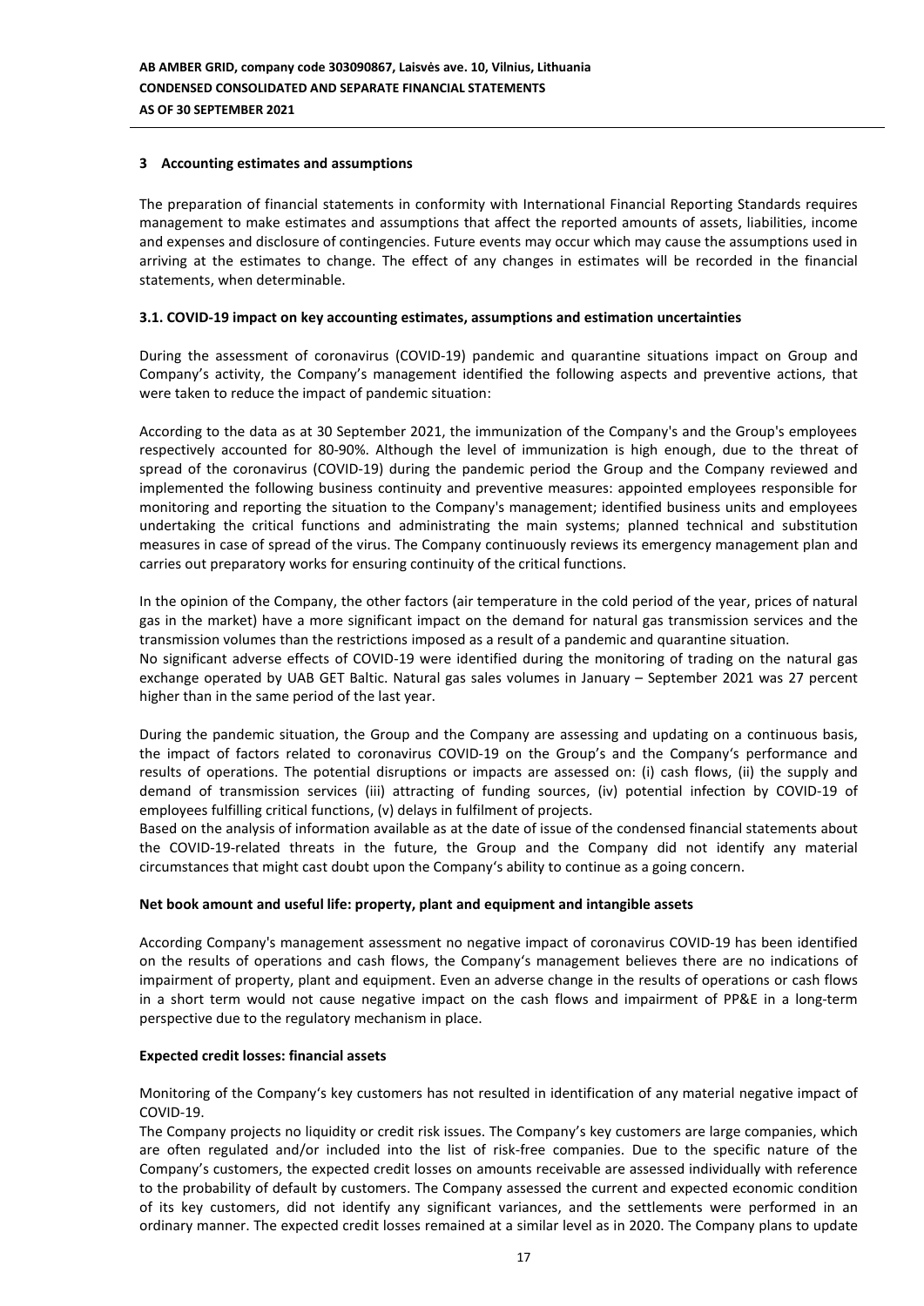### **3 Accounting estimates and assumptions**

The preparation of financial statements in conformity with International Financial Reporting Standards requires management to make estimates and assumptions that affect the reported amounts of assets, liabilities, income and expenses and disclosure of contingencies. Future events may occur which may cause the assumptions used in arriving at the estimates to change. The effect of any changes in estimates will be recorded in the financial statements, when determinable.

### **3.1. COVID-19 impact on key accounting estimates, assumptions and estimation uncertainties**

During the assessment of coronavirus (COVID-19) pandemic and quarantine situations impact on Group and Company's activity, the Company's management identified the following aspects and preventive actions, that were taken to reduce the impact of pandemic situation:

According to the data as at 30 September 2021, the immunization of the Company's and the Group's employees respectively accounted for 80-90%. Although the level of immunization is high enough, due to the threat of spread of the coronavirus (COVID-19) during the pandemic period the Group and the Company reviewed and implemented the following business continuity and preventive measures: appointed employees responsible for monitoring and reporting the situation to the Company's management; identified business units and employees undertaking the critical functions and administrating the main systems; planned technical and substitution measures in case of spread of the virus. The Company continuously reviews its emergency management plan and carries out preparatory works for ensuring continuity of the critical functions.

In the opinion of the Company, the other factors (air temperature in the cold period of the year, prices of natural gas in the market) have a more significant impact on the demand for natural gas transmission services and the transmission volumes than the restrictions imposed as a result of a pandemic and quarantine situation. No significant adverse effects of COVID-19 were identified during the monitoring of trading on the natural gas exchange operated by UAB GET Baltic. Natural gas sales volumes in January – September 2021 was 27 percent higher than in the same period of the last year.

During the pandemic situation, the Group and the Company are assessing and updating on a continuous basis, the impact of factors related to coronavirus COVID-19 on the Group's and the Company's performance and results of operations. The potential disruptions or impacts are assessed on: (i) cash flows, (ii) the supply and demand of transmission services (iii) attracting of funding sources, (iv) potential infection by COVID-19 of employees fulfilling critical functions, (v) delays in fulfilment of projects.

Based on the analysis of information available as at the date of issue of the condensed financial statements about the COVID-19-related threats in the future, the Group and the Company did not identify any material circumstances that might cast doubt upon the Company's ability to continue as a going concern.

#### **Net book amount and useful life: property, plant and equipment and intangible assets**

According Company's management assessment no negative impact of coronavirus COVID-19 has been identified on the results of operations and cash flows, the Company's management believes there are no indications of impairment of property, plant and equipment. Even an adverse change in the results of operations or cash flows in a short term would not cause negative impact on the cash flows and impairment of PP&E in a long-term perspective due to the regulatory mechanism in place.

#### **Expected credit losses: financial assets**

Monitoring of the Company's key customers has not resulted in identification of any material negative impact of COVID-19.

The Company projects no liquidity or credit risk issues. The Company's key customers are large companies, which are often regulated and/or included into the list of risk-free companies. Due to the specific nature of the Company's customers, the expected credit losses on amounts receivable are assessed individually with reference to the probability of default by customers. The Company assessed the current and expected economic condition of its key customers, did not identify any significant variances, and the settlements were performed in an ordinary manner. The expected credit losses remained at a similar level as in 2020. The Company plans to update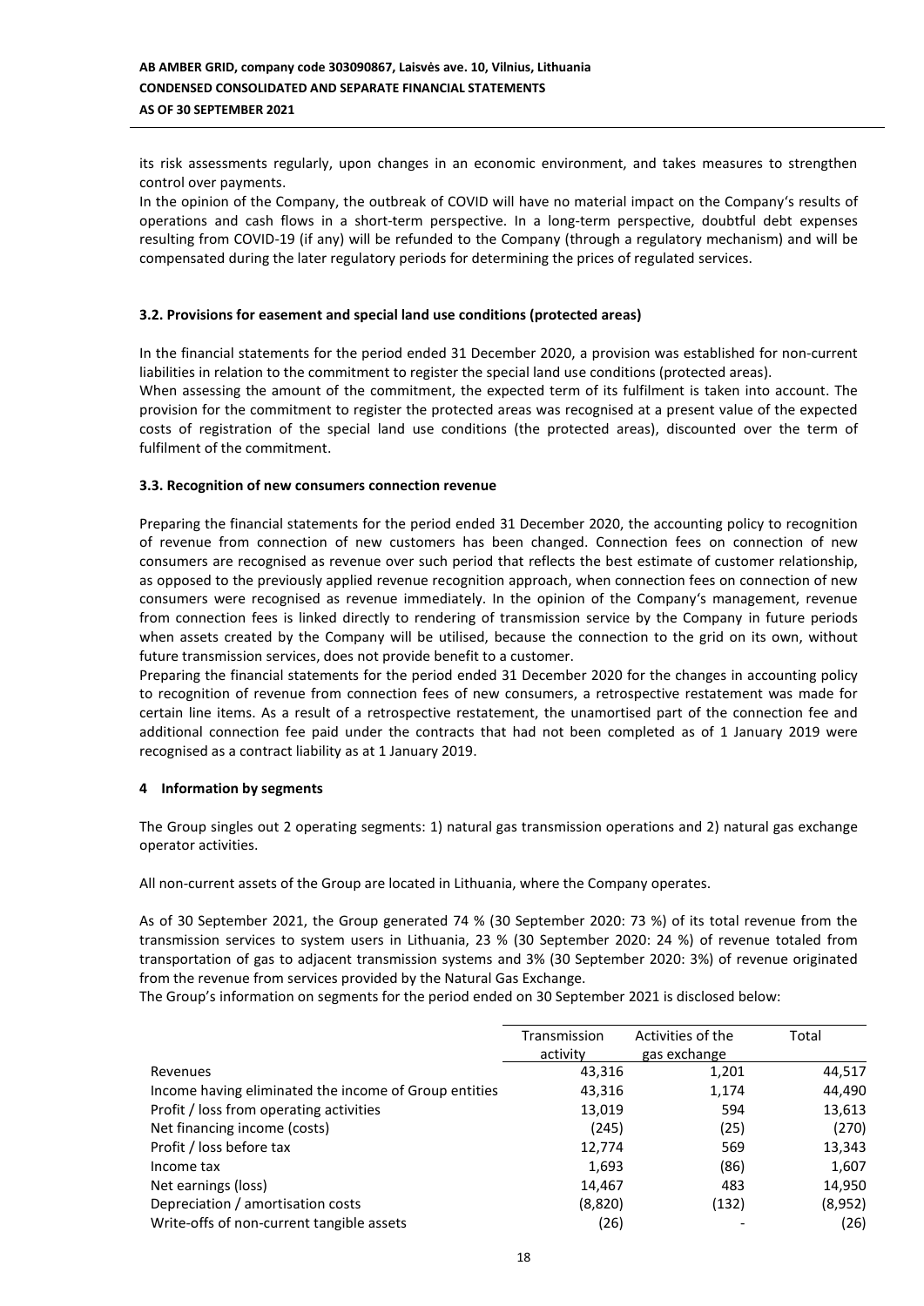its risk assessments regularly, upon changes in an economic environment, and takes measures to strengthen control over payments.

In the opinion of the Company, the outbreak of COVID will have no material impact on the Company's results of operations and cash flows in a short-term perspective. In a long-term perspective, doubtful debt expenses resulting from COVID-19 (if any) will be refunded to the Company (through a regulatory mechanism) and will be compensated during the later regulatory periods for determining the prices of regulated services.

### **3.2. Provisions for easement and special land use conditions (protected areas)**

In the financial statements for the period ended 31 December 2020, a provision was established for non-current liabilities in relation to the commitment to register the special land use conditions (protected areas). When assessing the amount of the commitment, the expected term of its fulfilment is taken into account. The provision for the commitment to register the protected areas was recognised at a present value of the expected costs of registration of the special land use conditions (the protected areas), discounted over the term of fulfilment of the commitment.

### **3.3. Recognition of new consumers connection revenue**

Preparing the financial statements for the period ended 31 December 2020, the accounting policy to recognition of revenue from connection of new customers has been changed. Connection fees on connection of new consumers are recognised as revenue over such period that reflects the best estimate of customer relationship, as opposed to the previously applied revenue recognition approach, when connection fees on connection of new consumers were recognised as revenue immediately. In the opinion of the Company's management, revenue from connection fees is linked directly to rendering of transmission service by the Company in future periods when assets created by the Company will be utilised, because the connection to the grid on its own, without future transmission services, does not provide benefit to a customer.

Preparing the financial statements for the period ended 31 December 2020 for the changes in accounting policy to recognition of revenue from connection fees of new consumers, a retrospective restatement was made for certain line items. As a result of a retrospective restatement, the unamortised part of the connection fee and additional connection fee paid under the contracts that had not been completed as of 1 January 2019 were recognised as a contract liability as at 1 January 2019.

#### **4 Information by segments**

The Group singles out 2 operating segments: 1) natural gas transmission operations and 2) natural gas exchange operator activities.

All non-current assets of the Group are located in Lithuania, where the Company operates.

As of 30 September 2021, the Group generated 74 % (30 September 2020: 73 %) of its total revenue from the transmission services to system users in Lithuania, 23 % (30 September 2020: 24 %) of revenue totaled from transportation of gas to adjacent transmission systems and 3% (30 September 2020: 3%) of revenue originated from the revenue from services provided by the Natural Gas Exchange.

The Group's information on segments for the period ended on 30 September 2021 is disclosed below:

|                                                       | Transmission<br>activity | Activities of the<br>gas exchange | Total   |
|-------------------------------------------------------|--------------------------|-----------------------------------|---------|
| Revenues                                              | 43,316                   | 1,201                             | 44,517  |
| Income having eliminated the income of Group entities | 43,316                   | 1,174                             | 44,490  |
| Profit / loss from operating activities               | 13,019                   | 594                               | 13,613  |
| Net financing income (costs)                          | (245)                    | (25)                              | (270)   |
| Profit / loss before tax                              | 12,774                   | 569                               | 13,343  |
| Income tax                                            | 1,693                    | (86)                              | 1,607   |
| Net earnings (loss)                                   | 14,467                   | 483                               | 14,950  |
| Depreciation / amortisation costs                     | (8,820)                  | (132)                             | (8,952) |
| Write-offs of non-current tangible assets             | (26)                     |                                   | (26)    |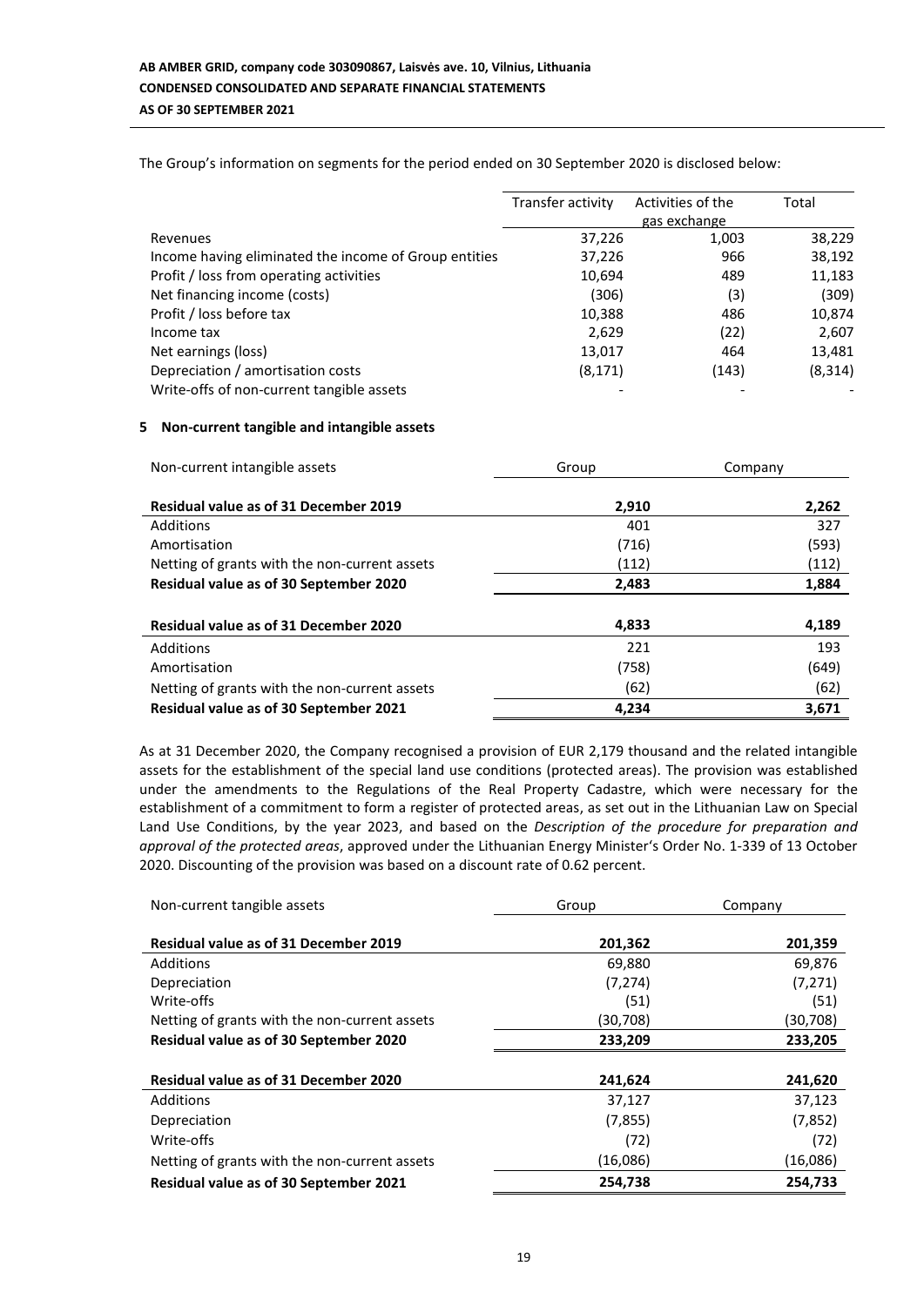The Group's information on segments for the period ended on 30 September 2020 is disclosed below:

|                                                       | Transfer activity | Activities of the | Total    |
|-------------------------------------------------------|-------------------|-------------------|----------|
|                                                       |                   | gas exchange      |          |
| Revenues                                              | 37,226            | 1,003             | 38,229   |
| Income having eliminated the income of Group entities | 37,226            | 966               | 38,192   |
| Profit / loss from operating activities               | 10,694            | 489               | 11,183   |
| Net financing income (costs)                          | (306)             | (3)               | (309)    |
| Profit / loss before tax                              | 10,388            | 486               | 10,874   |
| Income tax                                            | 2,629             | (22)              | 2,607    |
| Net earnings (loss)                                   | 13,017            | 464               | 13,481   |
| Depreciation / amortisation costs                     | (8, 171)          | (143)             | (8, 314) |
| Write-offs of non-current tangible assets             |                   |                   |          |

### **5 Non-current tangible and intangible assets**

| Non-current intangible assets                 | Group | Company |  |
|-----------------------------------------------|-------|---------|--|
| <b>Residual value as of 31 December 2019</b>  | 2,910 | 2,262   |  |
| Additions                                     | 401   | 327     |  |
| Amortisation                                  | (716) | (593)   |  |
| Netting of grants with the non-current assets | (112) | (112)   |  |
| <b>Residual value as of 30 September 2020</b> | 2,483 | 1,884   |  |
|                                               |       |         |  |
| <b>Residual value as of 31 December 2020</b>  | 4,833 | 4,189   |  |
| Additions                                     | 221   | 193     |  |
| Amortisation                                  | (758) | (649)   |  |
| Netting of grants with the non-current assets | (62)  | (62)    |  |
| <b>Residual value as of 30 September 2021</b> | 4,234 | 3,671   |  |

As at 31 December 2020, the Company recognised a provision of EUR 2,179 thousand and the related intangible assets for the establishment of the special land use conditions (protected areas). The provision was established under the amendments to the Regulations of the Real Property Cadastre, which were necessary for the establishment of a commitment to form a register of protected areas, as set out in the Lithuanian Law on Special Land Use Conditions, by the year 2023, and based on the *Description of the procedure for preparation and approval of the protected areas*, approved under the Lithuanian Energy Minister's Order No. 1-339 of 13 October 2020. Discounting of the provision was based on a discount rate of 0.62 percent.

| Non-current tangible assets                   | Group    | Company  |  |
|-----------------------------------------------|----------|----------|--|
|                                               |          |          |  |
| <b>Residual value as of 31 December 2019</b>  | 201,362  | 201,359  |  |
| Additions                                     | 69,880   | 69,876   |  |
| Depreciation                                  | (7, 274) | (7, 271) |  |
| Write-offs                                    | (51)     | (51)     |  |
| Netting of grants with the non-current assets | (30,708) | (30,708) |  |
| <b>Residual value as of 30 September 2020</b> | 233,209  | 233,205  |  |
|                                               |          |          |  |
| <b>Residual value as of 31 December 2020</b>  | 241,624  | 241,620  |  |
| Additions                                     | 37,127   | 37,123   |  |
| Depreciation                                  | (7, 855) | (7, 852) |  |
| Write-offs                                    | (72)     | (72)     |  |
| Netting of grants with the non-current assets | (16,086) | (16,086) |  |
| <b>Residual value as of 30 September 2021</b> | 254,738  | 254,733  |  |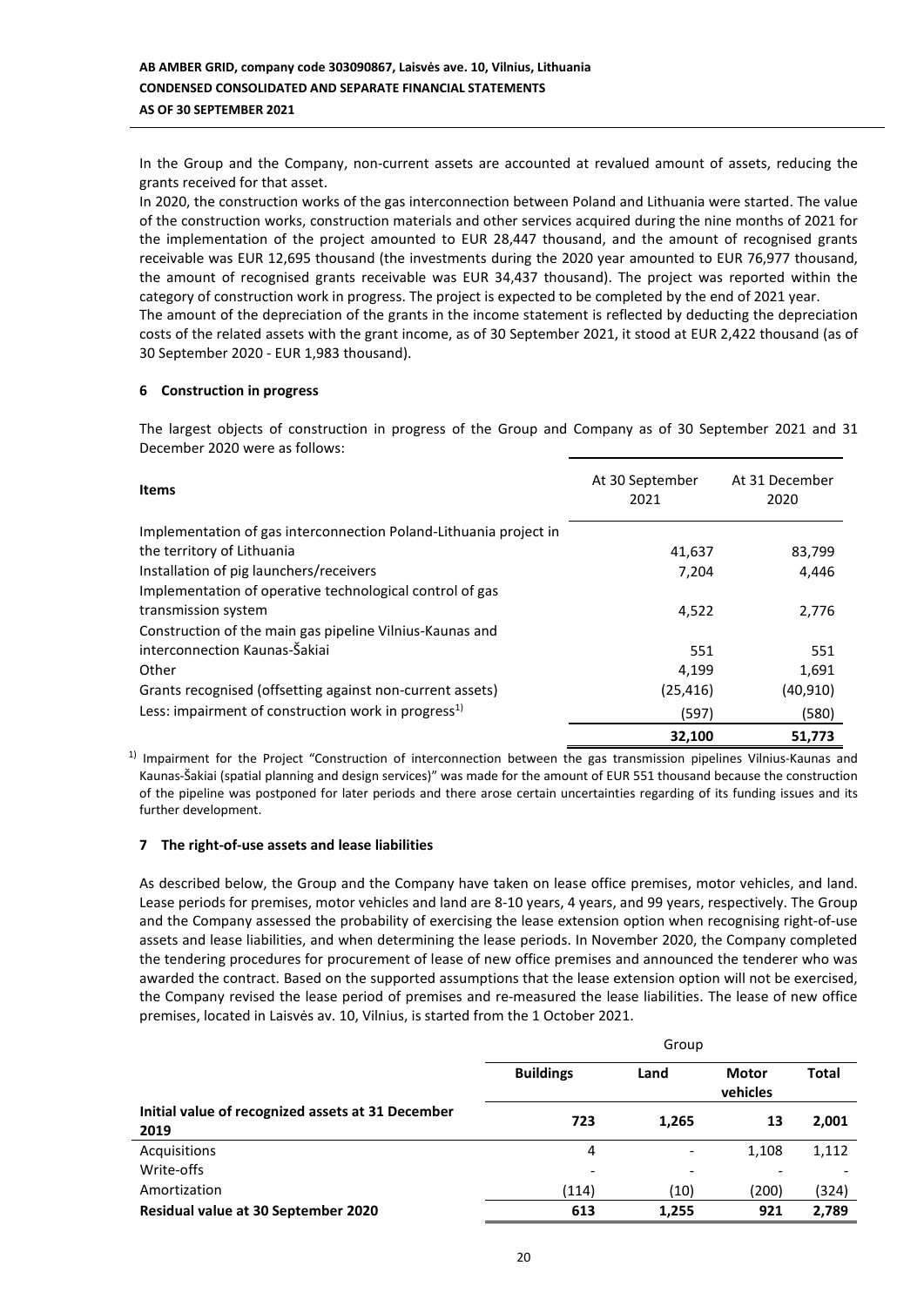In the Group and the Company, non-current assets are accounted at revalued amount of assets, reducing the grants received for that asset.

In 2020, the construction works of the gas interconnection between Poland and Lithuania were started. The value of the construction works, construction materials and other services acquired during the nine months of 2021 for the implementation of the project amounted to EUR 28,447 thousand, and the amount of recognised grants receivable was EUR 12,695 thousand (the investments during the 2020 year amounted to EUR 76,977 thousand, the amount of recognised grants receivable was EUR 34,437 thousand). The project was reported within the category of construction work in progress. The project is expected to be completed by the end of 2021 year. The amount of the depreciation of the grants in the income statement is reflected by deducting the depreciation costs of the related assets with the grant income, as of 30 September 2021, it stood at EUR 2,422 thousand (as of 30 September 2020 - EUR 1,983 thousand).

### **6 Construction in progress**

The largest objects of construction in progress of the Group and Company as of 30 September 2021 and 31 December 2020 were as follows:

| <b>Items</b>                                                      | At 30 September<br>2021 | At 31 December<br>2020 |
|-------------------------------------------------------------------|-------------------------|------------------------|
| Implementation of gas interconnection Poland-Lithuania project in |                         |                        |
| the territory of Lithuania                                        | 41,637                  | 83,799                 |
| Installation of pig launchers/receivers                           | 7.204                   | 4,446                  |
| Implementation of operative technological control of gas          |                         |                        |
| transmission system                                               | 4,522                   | 2,776                  |
| Construction of the main gas pipeline Vilnius-Kaunas and          |                         |                        |
| interconnection Kaunas-Šakiai                                     | 551                     | 551                    |
| Other                                                             | 4,199                   | 1,691                  |
| Grants recognised (offsetting against non-current assets)         | (25, 416)               | (40, 910)              |
| Less: impairment of construction work in progress <sup>1)</sup>   | (597)                   | (580)                  |
|                                                                   | 32,100                  | 51,773                 |

 $1)$  Impairment for the Project "Construction of interconnection between the gas transmission pipelines Vilnius-Kaunas and Kaunas-Šakiai (spatial planning and design services)" was made for the amount of EUR 551 thousand because the construction of the pipeline was postponed for later periods and there arose certain uncertainties regarding of its funding issues and its further development.

### **7 The right-of-use assets and lease liabilities**

As described below, the Group and the Company have taken on lease office premises, motor vehicles, and land. Lease periods for premises, motor vehicles and land are 8-10 years, 4 years, and 99 years, respectively. The Group and the Company assessed the probability of exercising the lease extension option when recognising right-of-use assets and lease liabilities, and when determining the lease periods. In November 2020, the Company completed the tendering procedures for procurement of lease of new office premises and announced the tenderer who was awarded the contract. Based on the supported assumptions that the lease extension option will not be exercised, the Company revised the lease period of premises and re-measured the lease liabilities. The lease of new office premises, located in Laisvės av. 10, Vilnius, is started from the 1 October 2021.

|                                                           | Group                    |                              |                   |              |  |
|-----------------------------------------------------------|--------------------------|------------------------------|-------------------|--------------|--|
|                                                           | <b>Buildings</b>         | Land                         | Motor<br>vehicles | <b>Total</b> |  |
| Initial value of recognized assets at 31 December<br>2019 | 723                      | 1,265                        | 13                | 2,001        |  |
| Acquisitions                                              | 4                        | $\qquad \qquad \blacksquare$ | 1,108             | 1,112        |  |
| Write-offs                                                | $\overline{\phantom{a}}$ | -                            |                   |              |  |
| Amortization                                              | (114)                    | (10)                         | (200)             | (324)        |  |
| <b>Residual value at 30 September 2020</b>                | 613                      | 1,255                        | 921               | 2,789        |  |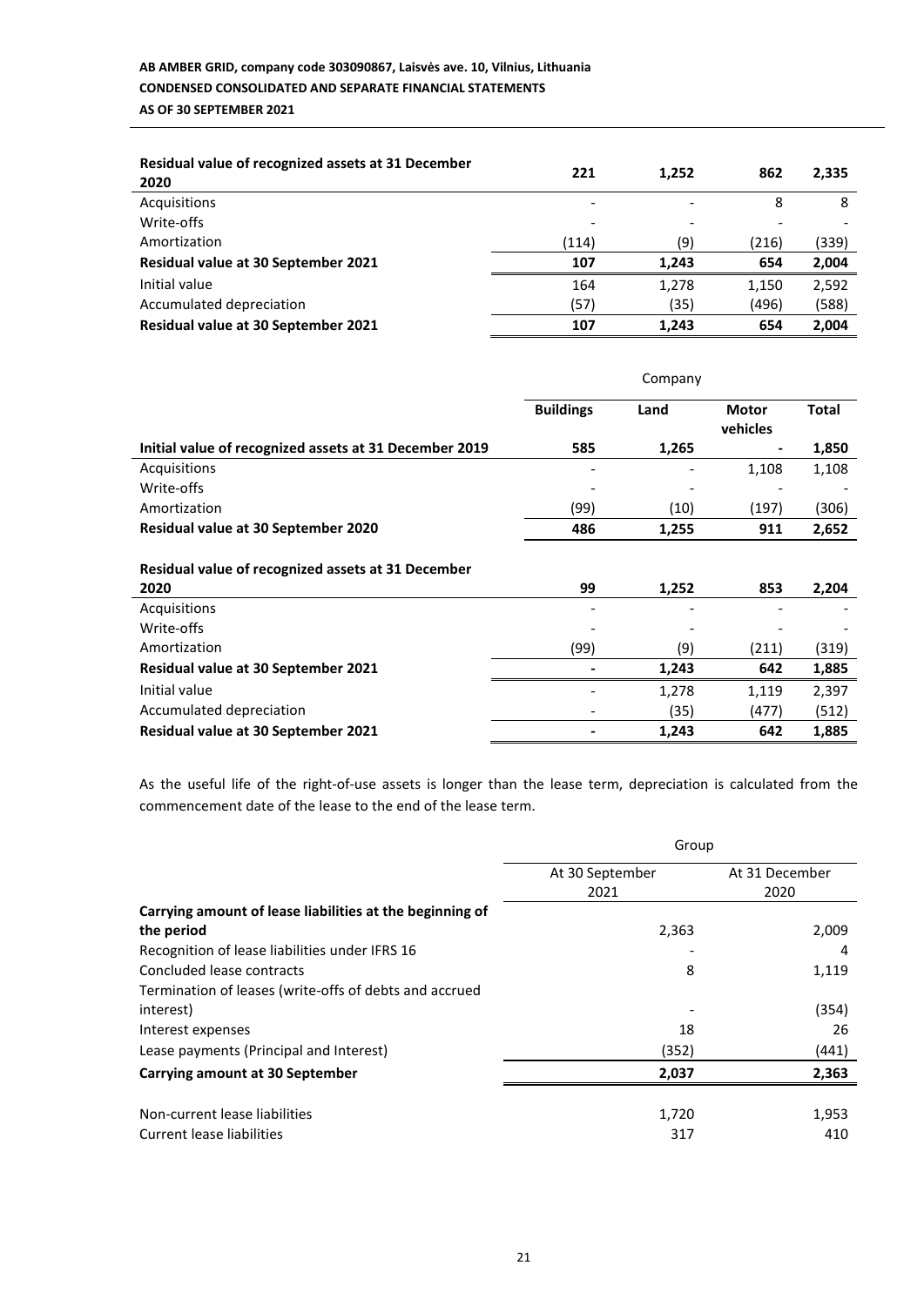# **AB AMBER GRID, company code 303090867, Laisvės ave. 10, Vilnius, Lithuania CONDENSED CONSOLIDATED AND SEPARATE FINANCIAL STATEMENTS AS OF 30 SEPTEMBER 2021**

| Residual value of recognized assets at 31 December<br>2020 | 221   | 1,252 | 862   | 2,335 |
|------------------------------------------------------------|-------|-------|-------|-------|
| Acquisitions                                               | -     |       | 8     | 8     |
| Write-offs                                                 | ٠     |       |       |       |
| Amortization                                               | (114) | (9)   | (216) | (339) |
| Residual value at 30 September 2021                        | 107   | 1.243 | 654   | 2,004 |
| Initial value                                              | 164   | 1,278 | 1,150 | 2,592 |
| Accumulated depreciation                                   | (57)  | (35)  | (496) | (588) |
| <b>Residual value at 30 September 2021</b>                 | 107   | 1,243 | 654   | 2,004 |

|                                                            | Company          |       |                          |              |
|------------------------------------------------------------|------------------|-------|--------------------------|--------------|
|                                                            | <b>Buildings</b> | Land  | <b>Motor</b><br>vehicles | <b>Total</b> |
| Initial value of recognized assets at 31 December 2019     | 585              | 1,265 |                          | 1,850        |
| Acquisitions                                               |                  |       | 1,108                    | 1,108        |
| Write-offs                                                 |                  |       |                          |              |
| Amortization                                               | (99)             | (10)  | (197)                    | (306)        |
| <b>Residual value at 30 September 2020</b>                 | 486              | 1,255 | 911                      | 2,652        |
| Residual value of recognized assets at 31 December<br>2020 | 99               | 1,252 | 853                      | 2,204        |
| Acquisitions                                               |                  |       |                          |              |
| Write-offs                                                 |                  |       |                          |              |
| Amortization                                               | (99)             | (9)   | (211)                    | (319)        |
| <b>Residual value at 30 September 2021</b>                 |                  | 1,243 | 642                      | 1,885        |
| Initial value                                              |                  | 1,278 | 1,119                    | 2,397        |
| Accumulated depreciation                                   |                  | (35)  | (477)                    | (512)        |
| Residual value at 30 September 2021                        |                  | 1,243 | 642                      | 1,885        |

As the useful life of the right-of-use assets is longer than the lease term, depreciation is calculated from the commencement date of the lease to the end of the lease term.

|                                                          | Group           |                |  |
|----------------------------------------------------------|-----------------|----------------|--|
|                                                          | At 30 September | At 31 December |  |
|                                                          | 2021            | 2020           |  |
| Carrying amount of lease liabilities at the beginning of |                 |                |  |
| the period                                               | 2,363           | 2,009          |  |
| Recognition of lease liabilities under IFRS 16           |                 | 4              |  |
| Concluded lease contracts                                | 8               | 1,119          |  |
| Termination of leases (write-offs of debts and accrued   |                 |                |  |
| interest)                                                |                 | (354)          |  |
| Interest expenses                                        | 18              | 26             |  |
| Lease payments (Principal and Interest)                  | (352)           | (441)          |  |
| Carrying amount at 30 September                          | 2,037           | 2,363          |  |
|                                                          |                 |                |  |
| Non-current lease liabilities                            | 1,720           | 1,953          |  |
| Current lease liabilities                                | 317             | 410            |  |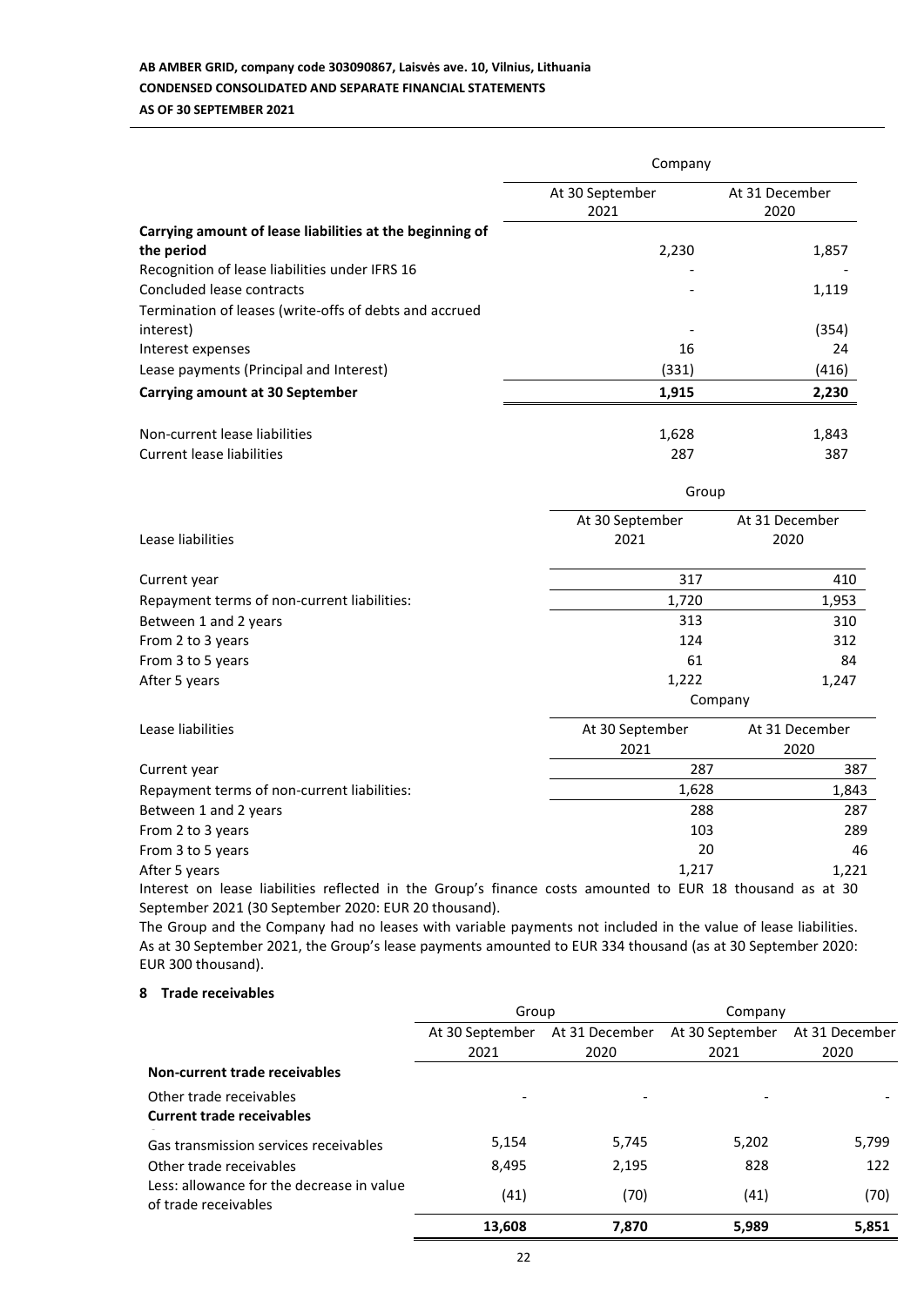# **AB AMBER GRID, company code 303090867, Laisvės ave. 10, Vilnius, Lithuania CONDENSED CONSOLIDATED AND SEPARATE FINANCIAL STATEMENTS AS OF 30 SEPTEMBER 2021**

|                                                                                                                 | Company                 |                        |  |  |
|-----------------------------------------------------------------------------------------------------------------|-------------------------|------------------------|--|--|
|                                                                                                                 | At 30 September<br>2021 | At 31 December<br>2020 |  |  |
| Carrying amount of lease liabilities at the beginning of<br>the period                                          | 2,230                   | 1,857                  |  |  |
| Recognition of lease liabilities under IFRS 16                                                                  |                         |                        |  |  |
| Concluded lease contracts                                                                                       |                         | 1,119                  |  |  |
| Termination of leases (write-offs of debts and accrued<br>interest)                                             |                         | (354)                  |  |  |
| Interest expenses                                                                                               | 16                      | 24                     |  |  |
| Lease payments (Principal and Interest)                                                                         | (331)                   | (416)                  |  |  |
| <b>Carrying amount at 30 September</b>                                                                          | 1,915                   | 2,230                  |  |  |
| Non-current lease liabilities                                                                                   | 1,628                   | 1,843                  |  |  |
| <b>Current lease liabilities</b>                                                                                | 287                     | 387                    |  |  |
|                                                                                                                 | Group                   |                        |  |  |
|                                                                                                                 | At 30 September         | At 31 December         |  |  |
| Lease liabilities                                                                                               | 2021<br>2020            |                        |  |  |
| Current year                                                                                                    | 317                     | 410                    |  |  |
| Repayment terms of non-current liabilities:                                                                     | 1,720                   | 1,953                  |  |  |
| Between 1 and 2 years                                                                                           | 313                     | 310                    |  |  |
| From 2 to 3 years                                                                                               | 124                     | 312                    |  |  |
| From 3 to 5 years                                                                                               | 61                      | 84                     |  |  |
| After 5 years                                                                                                   | 1,222                   | 1,247<br>Company       |  |  |
| Lease liabilities                                                                                               | At 30 September         | At 31 December         |  |  |
|                                                                                                                 | 2021                    | 2020                   |  |  |
| Current year                                                                                                    |                         | 287<br>387             |  |  |
| Repayment terms of non-current liabilities:                                                                     | 1,628                   | 1,843                  |  |  |
| Between 1 and 2 years                                                                                           |                         | 288<br>287             |  |  |
| From 2 to 3 years                                                                                               |                         | 103<br>289             |  |  |
| From 3 to 5 years                                                                                               |                         | 20<br>46               |  |  |
| After 5 years                                                                                                   | 1,217<br>1,221          |                        |  |  |
| the contract of the contract of the contract of the contract of the contract of the contract of the contract of | F115                    | $\sim$                 |  |  |

Interest on lease liabilities reflected in the Group's finance costs amounted to EUR 18 thousand as at 30 September 2021 (30 September 2020: EUR 20 thousand).

The Group and the Company had no leases with variable payments not included in the value of lease liabilities. As at 30 September 2021, the Group's lease payments amounted to EUR 334 thousand (as at 30 September 2020: EUR 300 thousand).

## **8 Trade receivables**

|                                                                   | Group           |                | Company         |                |
|-------------------------------------------------------------------|-----------------|----------------|-----------------|----------------|
|                                                                   | At 30 September | At 31 December | At 30 September | At 31 December |
|                                                                   | 2021            | 2020           | 2021            | 2020           |
| Non-current trade receivables                                     |                 |                |                 |                |
| Other trade receivables                                           |                 |                |                 |                |
| <b>Current trade receivables</b>                                  |                 |                |                 |                |
| Gas transmission services receivables                             | 5,154           | 5,745          | 5,202           | 5,799          |
| Other trade receivables                                           | 8,495           | 2,195          | 828             | 122            |
| Less: allowance for the decrease in value<br>of trade receivables | (41)            | (70)           | (41)            | (70)           |
|                                                                   | 13,608          | 7.870          | 5,989           | 5,851          |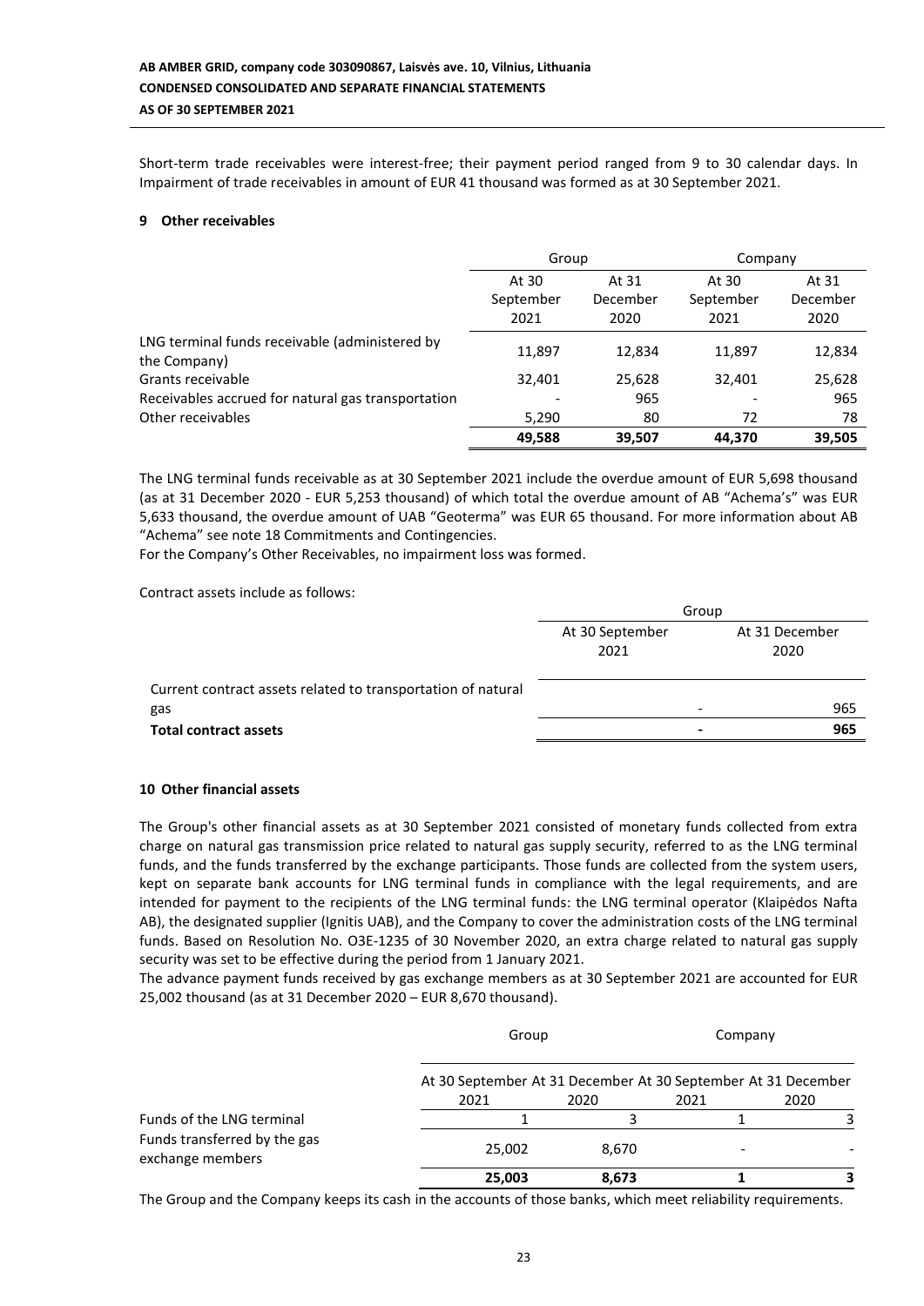Short-term trade receivables were interest-free; their payment period ranged from 9 to 30 calendar days. In Impairment of trade receivables in amount of EUR 41 thousand was formed as at 30 September 2021.

### **9 Other receivables**

|                                                                | Group     |          | Company   |          |
|----------------------------------------------------------------|-----------|----------|-----------|----------|
|                                                                | At 30     | At 31    | At 30     | At 31    |
|                                                                | September | December | September | December |
|                                                                | 2021      | 2020     | 2021      | 2020     |
| LNG terminal funds receivable (administered by<br>the Company) | 11,897    | 12.834   | 11,897    | 12,834   |
| Grants receivable                                              | 32,401    | 25,628   | 32,401    | 25,628   |
| Receivables accrued for natural gas transportation             |           | 965      |           | 965      |
| Other receivables                                              | 5,290     | 80       | 72        | 78       |
|                                                                | 49.588    | 39.507   | 44.370    | 39,505   |

The LNG terminal funds receivable as at 30 September 2021 include the overdue amount of EUR 5,698 thousand (as at 31 December 2020 - EUR 5,253 thousand) of which total the overdue amount of AB "Achema's" was EUR 5,633 thousand, the overdue amount of UAB "Geoterma" was EUR 65 thousand. For more information about AB "Achema" see note 18 Commitments and Contingencies.

For the Company's Other Receivables, no impairment loss was formed.

Contract assets include as follows:

|                                                              | Group           |                |  |
|--------------------------------------------------------------|-----------------|----------------|--|
|                                                              | At 30 September | At 31 December |  |
|                                                              | 2021            | 2020           |  |
| Current contract assets related to transportation of natural |                 |                |  |
| gas                                                          |                 | 965            |  |
| <b>Total contract assets</b>                                 |                 | 965<br>$\,$    |  |
|                                                              |                 |                |  |

### **10 Other financial assets**

The Group's other financial assets as at 30 September 2021 consisted of monetary funds collected from extra charge on natural gas transmission price related to natural gas supply security, referred to as the LNG terminal funds, and the funds transferred by the exchange participants. Those funds are collected from the system users, kept on separate bank accounts for LNG terminal funds in compliance with the legal requirements, and are intended for payment to the recipients of the LNG terminal funds: the LNG terminal operator (Klaipėdos Nafta AB), the designated supplier (Ignitis UAB), and the Company to cover the administration costs of the LNG terminal funds. Based on Resolution No. O3E-1235 of 30 November 2020, an extra charge related to natural gas supply security was set to be effective during the period from 1 January 2021.

The advance payment funds received by gas exchange members as at 30 September 2021 are accounted for EUR 25,002 thousand (as at 31 December 2020 – EUR 8,670 thousand).

|                                                  | Group                                                                 |       | Company |      |
|--------------------------------------------------|-----------------------------------------------------------------------|-------|---------|------|
|                                                  | At 30 September At 31 December At 30 September At 31 December<br>2021 | 2020  | 2021    | 2020 |
| Funds of the LNG terminal                        |                                                                       |       |         |      |
| Funds transferred by the gas<br>exchange members | 25,002                                                                | 8,670 |         |      |
|                                                  | 25,003                                                                | 8,673 |         |      |

The Group and the Company keeps its cash in the accounts of those banks, which meet reliability requirements.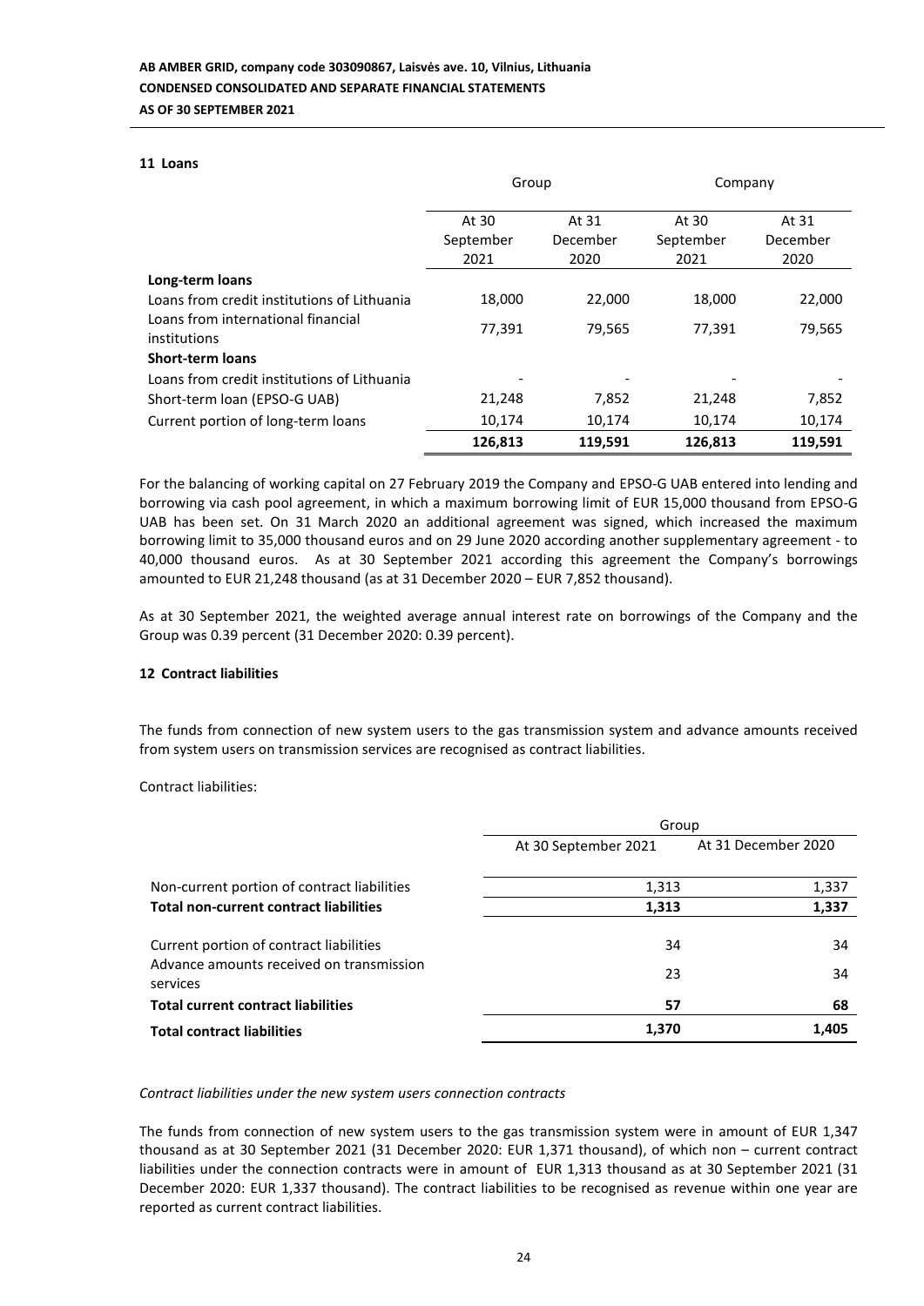#### **11 Loans**

|                                                    | Group     |          | Company   |          |
|----------------------------------------------------|-----------|----------|-----------|----------|
|                                                    | At 30     | At 31    | At 30     | At 31    |
|                                                    | September | December | September | December |
|                                                    | 2021      | 2020     | 2021      | 2020     |
| Long-term loans                                    |           |          |           |          |
| Loans from credit institutions of Lithuania        | 18,000    | 22,000   | 18,000    | 22,000   |
| Loans from international financial<br>institutions | 77,391    | 79,565   | 77,391    | 79,565   |
| <b>Short-term loans</b>                            |           |          |           |          |
| Loans from credit institutions of Lithuania        |           |          |           |          |
| Short-term loan (EPSO-G UAB)                       | 21,248    | 7,852    | 21,248    | 7,852    |
| Current portion of long-term loans                 | 10,174    | 10,174   | 10,174    | 10,174   |
|                                                    | 126,813   | 119,591  | 126,813   | 119,591  |

For the balancing of working capital on 27 February 2019 the Company and EPSO-G UAB entered into lending and borrowing via cash pool agreement, in which a maximum borrowing limit of EUR 15,000 thousand from EPSO-G UAB has been set. On 31 March 2020 an additional agreement was signed, which increased the maximum borrowing limit to 35,000 thousand euros and on 29 June 2020 according another supplementary agreement - to 40,000 thousand euros. As at 30 September 2021 according this agreement the Company's borrowings amounted to EUR 21,248 thousand (as at 31 December 2020 – EUR 7,852 thousand).

As at 30 September 2021, the weighted average annual interest rate on borrowings of the Company and the Group was 0.39 percent (31 December 2020: 0.39 percent).

### **12 Contract liabilities**

The funds from connection of new system users to the gas transmission system and advance amounts received from system users on transmission services are recognised as contract liabilities.

Contract liabilities:

|                                                                                                 | Group                |                     |  |
|-------------------------------------------------------------------------------------------------|----------------------|---------------------|--|
|                                                                                                 | At 30 September 2021 | At 31 December 2020 |  |
| Non-current portion of contract liabilities                                                     | 1,313                | 1,337               |  |
| <b>Total non-current contract liabilities</b>                                                   | 1,313                | 1,337               |  |
| Current portion of contract liabilities<br>Advance amounts received on transmission<br>services | 34<br>23             | 34<br>34            |  |
| <b>Total current contract liabilities</b>                                                       | 57                   | 68                  |  |
| <b>Total contract liabilities</b>                                                               | 1,370                | 1.405               |  |

#### *Contract liabilities under the new system users connection contracts*

The funds from connection of new system users to the gas transmission system were in amount of EUR 1,347 thousand as at 30 September 2021 (31 December 2020: EUR 1,371 thousand), of which non – current contract liabilities under the connection contracts were in amount of EUR 1,313 thousand as at 30 September 2021 (31 December 2020: EUR 1,337 thousand). The contract liabilities to be recognised as revenue within one year are reported as current contract liabilities.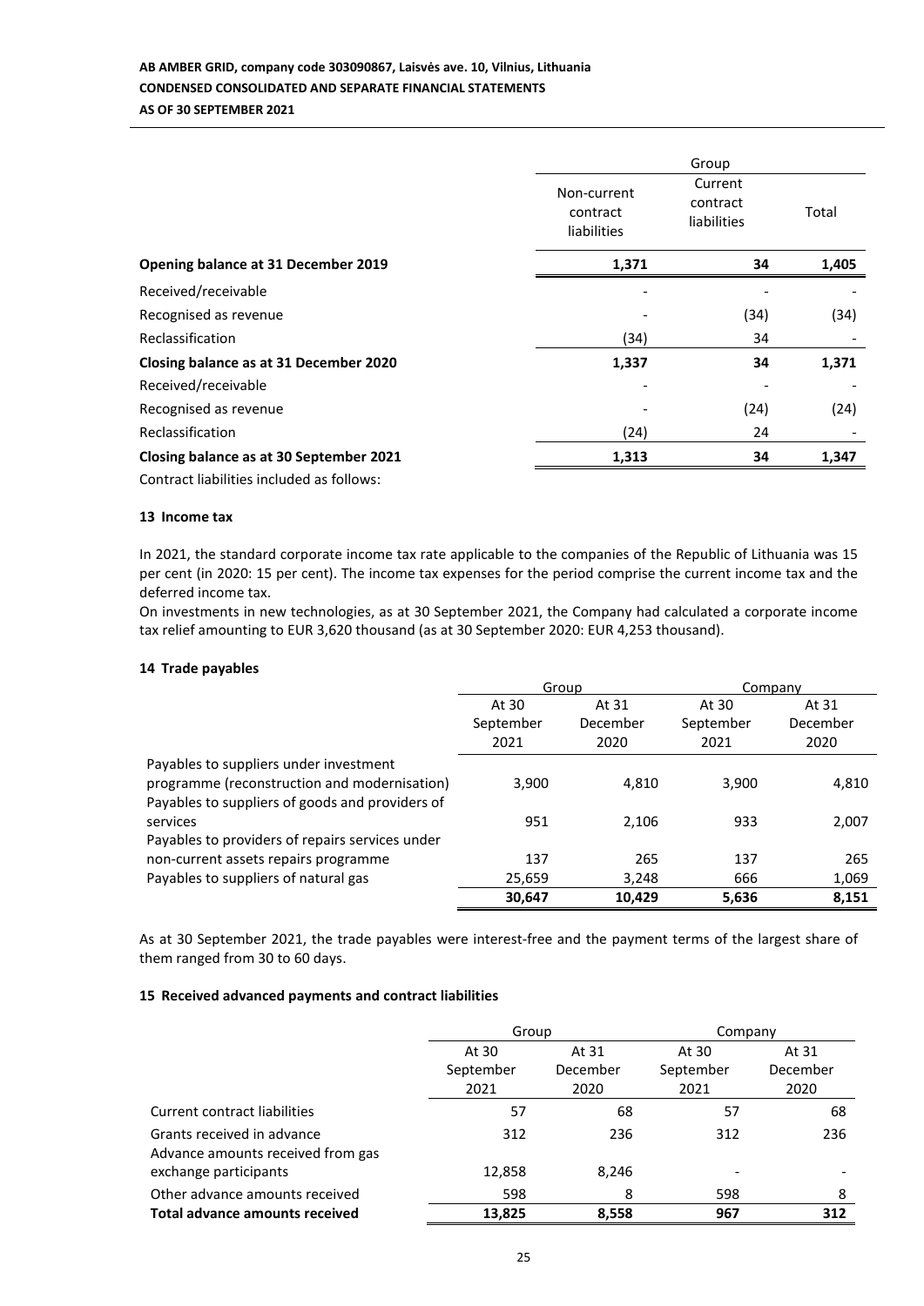# **AB AMBER GRID, company code 303090867, Laisvės ave. 10, Vilnius, Lithuania CONDENSED CONSOLIDATED AND SEPARATE FINANCIAL STATEMENTS AS OF 30 SEPTEMBER 2021**

|                                           |                                               | Group                              |       |
|-------------------------------------------|-----------------------------------------------|------------------------------------|-------|
|                                           | Non-current<br>contract<br><b>liabilities</b> | Current<br>contract<br>liabilities | Total |
| Opening balance at 31 December 2019       | 1,371                                         | 34                                 | 1,405 |
| Received/receivable                       |                                               |                                    |       |
| Recognised as revenue                     |                                               | (34)                               | (34)  |
| Reclassification                          | (34)                                          | 34                                 |       |
| Closing balance as at 31 December 2020    | 1,337                                         | 34                                 | 1,371 |
| Received/receivable                       |                                               |                                    |       |
| Recognised as revenue                     |                                               | (24)                               | (24)  |
| Reclassification                          | (24)                                          | 24                                 |       |
| Closing balance as at 30 September 2021   | 1,313                                         | 34                                 | 1,347 |
| Contract liabilities included as follows: |                                               |                                    |       |

### **13 Income tax**

In 2021, the standard corporate income tax rate applicable to the companies of the Republic of Lithuania was 15 per cent (in 2020: 15 per cent). The income tax expenses for the period comprise the current income tax and the deferred income tax.

On investments in new technologies, as at 30 September 2021, the Company had calculated a corporate income tax relief amounting to EUR 3,620 thousand (as at 30 September 2020: EUR 4,253 thousand).

### **14 Trade payables**

|                                                 | Group     |          | Company   |          |  |
|-------------------------------------------------|-----------|----------|-----------|----------|--|
|                                                 | At 30     | At 31    | At 30     | At 31    |  |
|                                                 | September | December | September | December |  |
|                                                 | 2021      | 2020     | 2021      | 2020     |  |
| Payables to suppliers under investment          |           |          |           |          |  |
| programme (reconstruction and modernisation)    | 3.900     | 4,810    | 3,900     | 4,810    |  |
| Payables to suppliers of goods and providers of |           |          |           |          |  |
| services                                        | 951       | 2,106    | 933       | 2,007    |  |
| Payables to providers of repairs services under |           |          |           |          |  |
| non-current assets repairs programme            | 137       | 265      | 137       | 265      |  |
| Payables to suppliers of natural gas            | 25,659    | 3,248    | 666       | 1,069    |  |
|                                                 | 30,647    | 10,429   | 5,636     | 8,151    |  |

As at 30 September 2021, the trade payables were interest-free and the payment terms of the largest share of them ranged from 30 to 60 days.

### **15 Received advanced payments and contract liabilities**

|                                   | Group     |          | Company                      |          |  |
|-----------------------------------|-----------|----------|------------------------------|----------|--|
|                                   | At 30     | At 31    | At 30                        | At 31    |  |
|                                   | September | December | September                    | December |  |
|                                   | 2021      | 2020     | 2021                         | 2020     |  |
| Current contract liabilities      | 57        | 68       | 57                           | 68       |  |
| Grants received in advance        | 312       | 236      | 312                          | 236      |  |
| Advance amounts received from gas |           |          |                              |          |  |
| exchange participants             | 12,858    | 8,246    | $\qquad \qquad \blacksquare$ |          |  |
| Other advance amounts received    | 598       | 8        | 598                          | 8        |  |
| Total advance amounts received    | 13,825    | 8,558    | 967                          | 312      |  |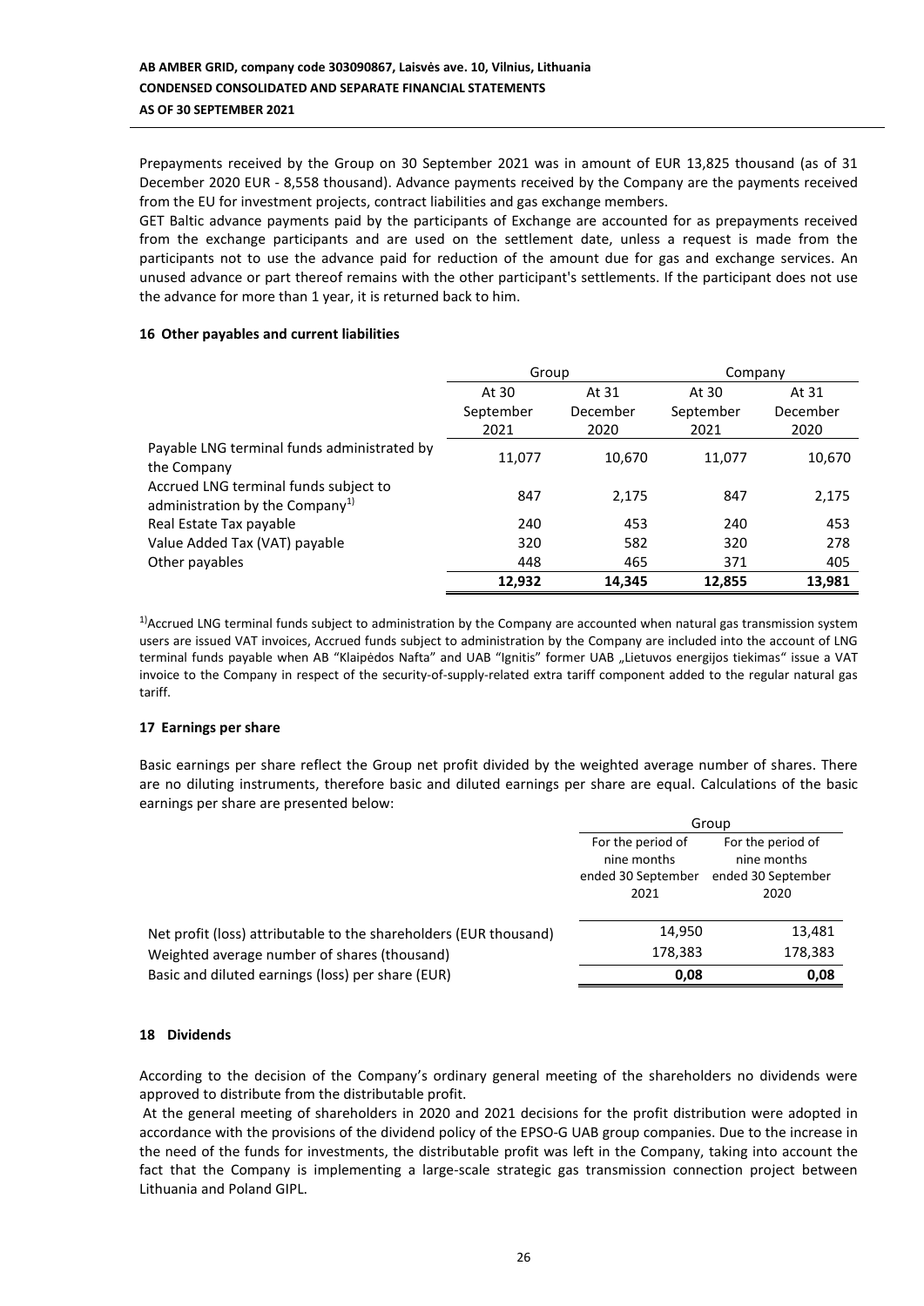Prepayments received by the Group on 30 September 2021 was in amount of EUR 13,825 thousand (as of 31 December 2020 EUR - 8,558 thousand). Advance payments received by the Company are the payments received from the EU for investment projects, contract liabilities and gas exchange members.

GET Baltic advance payments paid by the participants of Exchange are accounted for as prepayments received from the exchange participants and are used on the settlement date, unless a request is made from the participants not to use the advance paid for reduction of the amount due for gas and exchange services. An unused advance or part thereof remains with the other participant's settlements. If the participant does not use the advance for more than 1 year, it is returned back to him.

### **16 Other payables and current liabilities**

|                                                                                      | Group     |          | Company   |          |  |
|--------------------------------------------------------------------------------------|-----------|----------|-----------|----------|--|
|                                                                                      | At 30     | At 31    | At 30     | At 31    |  |
|                                                                                      | September | December | September | December |  |
|                                                                                      | 2021      | 2020     | 2021      | 2020     |  |
| Payable LNG terminal funds administrated by<br>the Company                           | 11,077    | 10,670   | 11,077    | 10,670   |  |
| Accrued LNG terminal funds subject to<br>administration by the Company <sup>1)</sup> | 847       | 2,175    | 847       | 2,175    |  |
| Real Estate Tax payable                                                              | 240       | 453      | 240       | 453      |  |
| Value Added Tax (VAT) payable                                                        | 320       | 582      | 320       | 278      |  |
| Other payables                                                                       | 448       | 465      | 371       | 405      |  |
|                                                                                      | 12,932    | 14,345   | 12,855    | 13,981   |  |

 $1)$ Accrued LNG terminal funds subject to administration by the Company are accounted when natural gas transmission system users are issued VAT invoices, Accrued funds subject to administration by the Company are included into the account of LNG terminal funds payable when AB "Klaipėdos Nafta" and UAB "Ignitis" former UAB "Lietuvos energijos tiekimas" issue a VAT invoice to the Company in respect of the security-of-supply-related extra tariff component added to the regular natural gas tariff.

### **17 Earnings per share**

Basic earnings per share reflect the Group net profit divided by the weighted average number of shares. There are no diluting instruments, therefore basic and diluted earnings per share are equal. Calculations of the basic earnings per share are presented below:

|                                                                   | Group                                                          |                                                                |  |  |
|-------------------------------------------------------------------|----------------------------------------------------------------|----------------------------------------------------------------|--|--|
|                                                                   | For the period of<br>nine months<br>ended 30 September<br>2021 | For the period of<br>nine months<br>ended 30 September<br>2020 |  |  |
| Net profit (loss) attributable to the shareholders (EUR thousand) | 14,950                                                         | 13,481                                                         |  |  |
| Weighted average number of shares (thousand)                      | 178,383                                                        | 178,383                                                        |  |  |
| Basic and diluted earnings (loss) per share (EUR)                 | 0,08                                                           | 0,08                                                           |  |  |

### **18 Dividends**

According to the decision of the Company's ordinary general meeting of the shareholders no dividends were approved to distribute from the distributable profit.

At the general meeting of shareholders in 2020 and 2021 decisions for the profit distribution were adopted in accordance with the provisions of the dividend policy of the EPSO-G UAB group companies. Due to the increase in the need of the funds for investments, the distributable profit was left in the Company, taking into account the fact that the Company is implementing a large-scale strategic gas transmission connection project between Lithuania and Poland GIPL.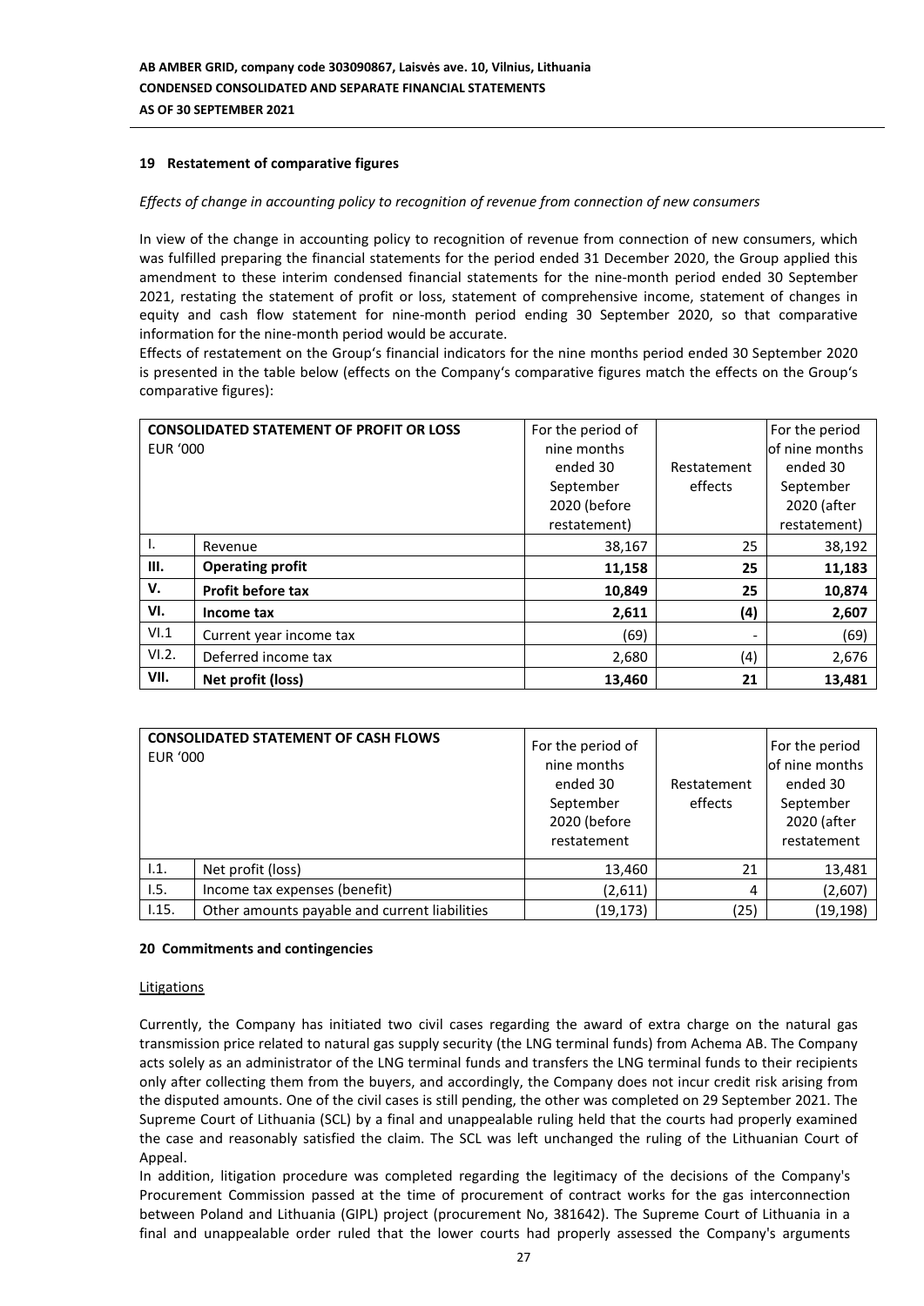### **19 Restatement of comparative figures**

### *Effects of change in accounting policy to recognition of revenue from connection of new consumers*

In view of the change in accounting policy to recognition of revenue from connection of new consumers, which was fulfilled preparing the financial statements for the period ended 31 December 2020, the Group applied this amendment to these interim condensed financial statements for the nine-month period ended 30 September 2021, restating the statement of profit or loss, statement of comprehensive income, statement of changes in equity and cash flow statement for nine-month period ending 30 September 2020, so that comparative information for the nine-month period would be accurate.

Effects of restatement on the Group's financial indicators for the nine months period ended 30 September 2020 is presented in the table below (effects on the Company's comparative figures match the effects on the Group's comparative figures):

|          | <b>CONSOLIDATED STATEMENT OF PROFIT OR LOSS</b> | For the period of |                          | For the period |
|----------|-------------------------------------------------|-------------------|--------------------------|----------------|
| EUR '000 |                                                 | nine months       |                          | of nine months |
|          |                                                 | ended 30          | Restatement              | ended 30       |
|          |                                                 | September         | effects                  | September      |
|          |                                                 | 2020 (before      |                          | 2020 (after    |
|          |                                                 | restatement)      |                          | restatement)   |
| Ι.       | Revenue                                         | 38,167            | 25                       | 38,192         |
| III.     | <b>Operating profit</b>                         | 11,158            | 25                       | 11,183         |
| V.       | <b>Profit before tax</b>                        | 10,849            | 25                       | 10,874         |
| VI.      | Income tax                                      | 2,611             | (4)                      | 2,607          |
| VI.1     | Current year income tax                         | (69)              | $\overline{\phantom{a}}$ | (69)           |
| VI.2.    | Deferred income tax                             | 2,680             | (4)                      | 2,676          |
| VII.     | Net profit (loss)                               | 13,460            | 21                       | 13,481         |

| <b>CONSOLIDATED STATEMENT OF CASH FLOWS</b><br><b>EUR '000</b> |                                               | For the period of<br>nine months<br>ended 30<br>September<br>2020 (before<br>restatement | Restatement<br>effects | For the period<br>of nine months<br>ended 30<br>September<br>2020 (after<br>restatement |
|----------------------------------------------------------------|-----------------------------------------------|------------------------------------------------------------------------------------------|------------------------|-----------------------------------------------------------------------------------------|
| 1.1.                                                           | Net profit (loss)                             | 13,460                                                                                   | 21                     | 13,481                                                                                  |
| 1.5.                                                           | Income tax expenses (benefit)                 | (2,611)                                                                                  | 4                      | (2,607)                                                                                 |
| 1.15.                                                          | Other amounts payable and current liabilities | (19, 173)                                                                                | (25)                   | (19, 198)                                                                               |

#### **20 Commitments and contingencies**

#### Litigations

Currently, the Company has initiated two civil cases regarding the award of extra charge on the natural gas transmission price related to natural gas supply security (the LNG terminal funds) from Achema AB. The Company acts solely as an administrator of the LNG terminal funds and transfers the LNG terminal funds to their recipients only after collecting them from the buyers, and accordingly, the Company does not incur credit risk arising from the disputed amounts. One of the civil cases is still pending, the other was completed on 29 September 2021. The Supreme Court of Lithuania (SCL) by a final and unappealable ruling held that the courts had properly examined the case and reasonably satisfied the claim. The SCL was left unchanged the ruling of the Lithuanian Court of Appeal.

In addition, litigation procedure was completed regarding the legitimacy of the decisions of the Company's Procurement Commission passed at the time of procurement of contract works for the gas interconnection between Poland and Lithuania (GIPL) project (procurement No, 381642). The Supreme Court of Lithuania in a final and unappealable order ruled that the lower courts had properly assessed the Company's arguments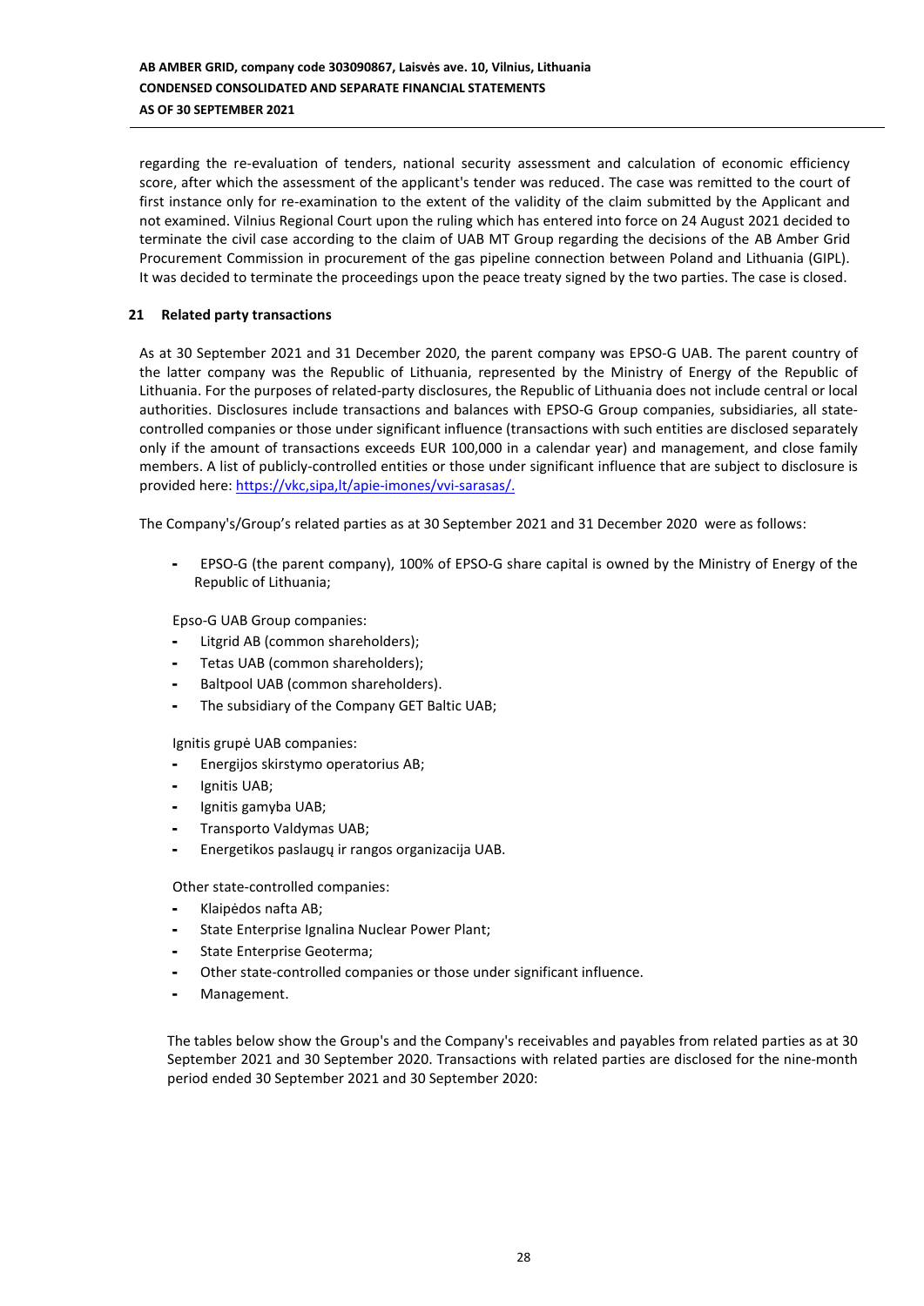regarding the re-evaluation of tenders, national security assessment and calculation of economic efficiency score, after which the assessment of the applicant's tender was reduced. The case was remitted to the court of first instance only for re-examination to the extent of the validity of the claim submitted by the Applicant and not examined. Vilnius Regional Court upon the ruling which has entered into force on 24 August 2021 decided to terminate the civil case according to the claim of UAB MT Group regarding the decisions of the AB Amber Grid Procurement Commission in procurement of the gas pipeline connection between Poland and Lithuania (GIPL). It was decided to terminate the proceedings upon the peace treaty signed by the two parties. The case is closed.

### **21 Related party transactions**

As at 30 September 2021 and 31 December 2020, the parent company was EPSO-G UAB. The parent country of the latter company was the Republic of Lithuania, represented by the Ministry of Energy of the Republic of Lithuania. For the purposes of related-party disclosures, the Republic of Lithuania does not include central or local authorities. Disclosures include transactions and balances with EPSO-G Group companies, subsidiaries, all statecontrolled companies or those under significant influence (transactions with such entities are disclosed separately only if the amount of transactions exceeds EUR 100,000 in a calendar year) and management, and close family members. A list of publicly-controlled entities or those under significant influence that are subject to disclosure is provided here: [https://vkc,sipa,lt/apie-imones/vvi-sarasas/.](https://vkc.sipa.lt/apie-imones/vvi-sarasas/)

The Company's/Group's related parties as at 30 September 2021 and 31 December 2020 were as follows:

- EPSO-G (the parent company), 100% of EPSO-G share capital is owned by the Ministry of Energy of the Republic of Lithuania;

Epso-G UAB Group companies:

- Litgrid AB (common shareholders);
- Tetas UAB (common shareholders);
- Baltpool UAB (common shareholders).
- The subsidiary of the Company GET Baltic UAB;

Ignitis grupė UAB companies:

- Energijos skirstymo operatorius AB;
- Ignitis UAB;
- Ignitis gamyba UAB;
- Transporto Valdymas UAB;
- Energetikos paslaugų ir rangos organizacija UAB.

Other state-controlled companies:

- Klaipėdos nafta AB;
- State Enterprise Ignalina Nuclear Power Plant;
- State Enterprise Geoterma;
- Other state-controlled companies or those under significant influence.
- Management.

The tables below show the Group's and the Company's receivables and payables from related parties as at 30 September 2021 and 30 September 2020. Transactions with related parties are disclosed for the nine-month period ended 30 September 2021 and 30 September 2020: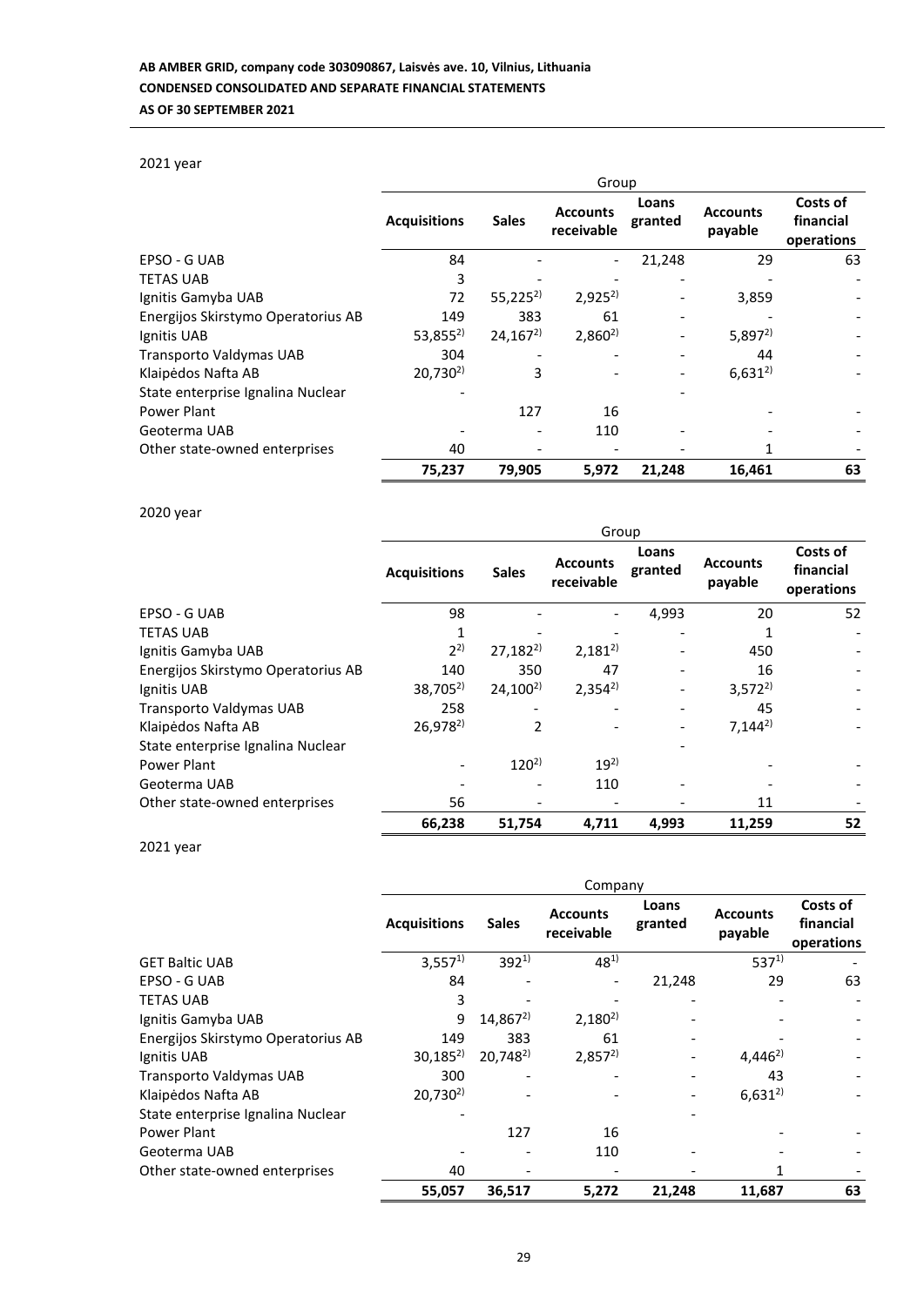# 2021 year

|                                    | Group               |              |                               |                  |                            |                                     |
|------------------------------------|---------------------|--------------|-------------------------------|------------------|----------------------------|-------------------------------------|
|                                    | <b>Acquisitions</b> | <b>Sales</b> | <b>Accounts</b><br>receivable | Loans<br>granted | <b>Accounts</b><br>payable | Costs of<br>financial<br>operations |
| EPSO - G UAB                       | 84                  |              |                               | 21,248           | 29                         | 63                                  |
| <b>TETAS UAB</b>                   | 3                   |              |                               |                  |                            |                                     |
| Ignitis Gamyba UAB                 | 72                  | $55,225^{2}$ | $2,925^{2}$                   |                  | 3,859                      |                                     |
| Energijos Skirstymo Operatorius AB | 149                 | 383          | 61                            |                  |                            |                                     |
| Ignitis UAB                        | $53,855^{2}$        | $24,167^2$   | $2,860^{2}$                   |                  | $5,897^{2}$                |                                     |
| Transporto Valdymas UAB            | 304                 |              |                               |                  | 44                         |                                     |
| Klaipėdos Nafta AB                 | $20,730^{2}$        | 3            |                               |                  | $6,631^{2}$                |                                     |
| State enterprise Ignalina Nuclear  |                     |              |                               |                  |                            |                                     |
| Power Plant                        |                     | 127          | 16                            |                  |                            |                                     |
| Geoterma UAB                       |                     |              | 110                           |                  |                            |                                     |
| Other state-owned enterprises      | 40                  |              |                               |                  |                            |                                     |
|                                    | 75,237              | 79,905       | 5,972                         | 21,248           | 16,461                     | 63                                  |

# 2020 year

|                                    | Group               |              |                               |                  |                            |                                     |
|------------------------------------|---------------------|--------------|-------------------------------|------------------|----------------------------|-------------------------------------|
|                                    | <b>Acquisitions</b> | <b>Sales</b> | <b>Accounts</b><br>receivable | Loans<br>granted | <b>Accounts</b><br>payable | Costs of<br>financial<br>operations |
| EPSO - G UAB                       | 98                  |              |                               | 4,993            | 20                         | 52                                  |
| <b>TETAS UAB</b>                   |                     |              |                               |                  |                            |                                     |
| Ignitis Gamyba UAB                 | $2^{2}$             | $27,182^{2}$ | $2,181^{2}$                   |                  | 450                        |                                     |
| Energijos Skirstymo Operatorius AB | 140                 | 350          | 47                            |                  | 16                         |                                     |
| Ignitis UAB                        | $38,705^{2}$        | $24,100^{2}$ | $2,354^{2}$                   |                  | $3,572^{2}$                |                                     |
| Transporto Valdymas UAB            | 258                 |              |                               |                  | 45                         |                                     |
| Klaipėdos Nafta AB                 | $26,978^{2}$        | 2            |                               |                  | $7,144^{2}$                |                                     |
| State enterprise Ignalina Nuclear  |                     |              |                               |                  |                            |                                     |
| Power Plant                        |                     | $120^{2}$    | $19^{2}$                      |                  |                            |                                     |
| Geoterma UAB                       |                     |              | 110                           |                  |                            |                                     |
| Other state-owned enterprises      | 56                  |              |                               |                  | 11                         |                                     |
|                                    | 66,238              | 51,754       | 4,711                         | 4,993            | 11,259                     | 52                                  |

2021 year

|                                    | Company             |              |                               |                  |                            |                                     |  |
|------------------------------------|---------------------|--------------|-------------------------------|------------------|----------------------------|-------------------------------------|--|
|                                    | <b>Acquisitions</b> | <b>Sales</b> | <b>Accounts</b><br>receivable | Loans<br>granted | <b>Accounts</b><br>payable | Costs of<br>financial<br>operations |  |
| <b>GET Baltic UAB</b>              | $3,557^{1}$         | $392^{1}$    | $48^{1}$                      |                  | $537^{1}$                  |                                     |  |
| EPSO - G UAB                       | 84                  |              |                               | 21,248           | 29                         | 63                                  |  |
| <b>TETAS UAB</b>                   | 3                   |              |                               |                  |                            |                                     |  |
| Ignitis Gamyba UAB                 | 9                   | $14,867^{2}$ | $2,180^{2}$                   |                  |                            |                                     |  |
| Energijos Skirstymo Operatorius AB | 149                 | 383          | 61                            |                  |                            |                                     |  |
| Ignitis UAB                        | $30,185^{2}$        | $20,748^{2}$ | $2,857^{2}$                   |                  | $4,446^{2}$                |                                     |  |
| Transporto Valdymas UAB            | 300                 |              |                               |                  | 43                         |                                     |  |
| Klaipėdos Nafta AB                 | $20,730^{2}$        |              |                               |                  | $6,631^{2}$                |                                     |  |
| State enterprise Ignalina Nuclear  |                     |              |                               |                  |                            |                                     |  |
| Power Plant                        |                     | 127          | 16                            |                  |                            |                                     |  |
| Geoterma UAB                       |                     |              | 110                           |                  |                            |                                     |  |
| Other state-owned enterprises      | 40                  |              |                               |                  |                            |                                     |  |
|                                    | 55,057              | 36,517       | 5,272                         | 21,248           | 11,687                     | 63                                  |  |